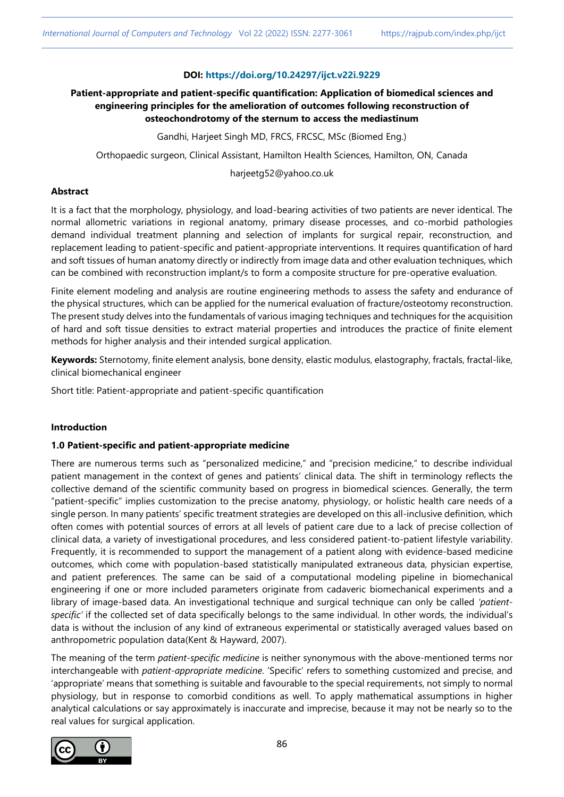# **DOI: <https://doi.org/10.24297/ijct.v22i.9229>**

# **Patient-appropriate and patient-specific quantification: Application of biomedical sciences and engineering principles for the amelioration of outcomes following reconstruction of osteochondrotomy of the sternum to access the mediastinum**

Gandhi, Harjeet Singh MD, FRCS, FRCSC, MSc (Biomed Eng.)

Orthopaedic surgeon, Clinical Assistant, Hamilton Health Sciences, Hamilton, ON, Canada

harjeetg52@yahoo.co.uk

# **Abstract**

It is a fact that the morphology, physiology, and load-bearing activities of two patients are never identical. The normal allometric variations in regional anatomy, primary disease processes, and co-morbid pathologies demand individual treatment planning and selection of implants for surgical repair, reconstruction, and replacement leading to patient-specific and patient-appropriate interventions. It requires quantification of hard and soft tissues of human anatomy directly or indirectly from image data and other evaluation techniques, which can be combined with reconstruction implant/s to form a composite structure for pre-operative evaluation.

Finite element modeling and analysis are routine engineering methods to assess the safety and endurance of the physical structures, which can be applied for the numerical evaluation of fracture/osteotomy reconstruction. The present study delves into the fundamentals of various imaging techniques and techniques for the acquisition of hard and soft tissue densities to extract material properties and introduces the practice of finite element methods for higher analysis and their intended surgical application.

**Keywords:** Sternotomy, finite element analysis, bone density, elastic modulus, elastography, fractals, fractal-like, clinical biomechanical engineer

Short title: Patient-appropriate and patient-specific quantification

# **Introduction**

## **1.0 Patient-specific and patient-appropriate medicine**

There are numerous terms such as "personalized medicine," and "precision medicine," to describe individual patient management in the context of genes and patients' clinical data. The shift in terminology reflects the collective demand of the scientific community based on progress in biomedical sciences. Generally, the term "patient-specific" implies customization to the precise anatomy, physiology, or holistic health care needs of a single person. In many patients' specific treatment strategies are developed on this all-inclusive definition, which often comes with potential sources of errors at all levels of patient care due to a lack of precise collection of clinical data, a variety of investigational procedures, and less considered patient-to-patient lifestyle variability. Frequently, it is recommended to support the management of a patient along with evidence-based medicine outcomes, which come with population-based statistically manipulated extraneous data, physician expertise, and patient preferences. The same can be said of a computational modeling pipeline in biomechanical engineering if one or more included parameters originate from cadaveric biomechanical experiments and a library of image-based data. An investigational technique and surgical technique can only be called *'patientspecific'* if the collected set of data specifically belongs to the same individual. In other words, the individual's data is without the inclusion of any kind of extraneous experimental or statistically averaged values based on anthropometric population data(Kent & Hayward, 2007).

The meaning of the term *patient-specific medicine* is neither synonymous with the above-mentioned terms nor interchangeable with *patient-appropriate medicine*. 'Specific' refers to something customized and precise, and 'appropriate' means that something is suitable and favourable to the special requirements, not simply to normal physiology, but in response to comorbid conditions as well. To apply mathematical assumptions in higher analytical calculations or say approximately is inaccurate and imprecise, because it may not be nearly so to the real values for surgical application.

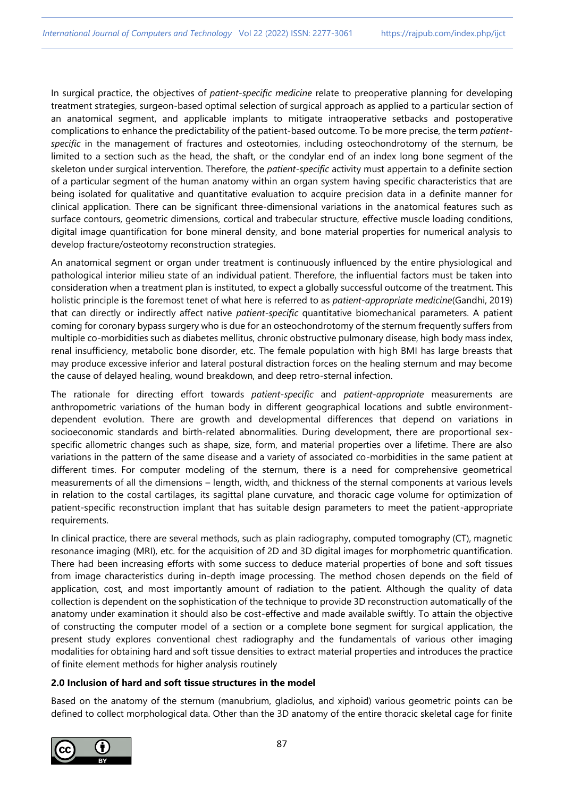In surgical practice, the objectives of *patient-specific medicine* relate to preoperative planning for developing treatment strategies, surgeon-based optimal selection of surgical approach as applied to a particular section of an anatomical segment, and applicable implants to mitigate intraoperative setbacks and postoperative complications to enhance the predictability of the patient-based outcome. To be more precise, the term *patientspecific* in the management of fractures and osteotomies, including osteochondrotomy of the sternum, be limited to a section such as the head, the shaft, or the condylar end of an index long bone segment of the skeleton under surgical intervention. Therefore, the *patient-specific* activity must appertain to a definite section of a particular segment of the human anatomy within an organ system having specific characteristics that are being isolated for qualitative and quantitative evaluation to acquire precision data in a definite manner for clinical application. There can be significant three-dimensional variations in the anatomical features such as surface contours, geometric dimensions, cortical and trabecular structure, effective muscle loading conditions, digital image quantification for bone mineral density, and bone material properties for numerical analysis to develop fracture/osteotomy reconstruction strategies.

An anatomical segment or organ under treatment is continuously influenced by the entire physiological and pathological interior milieu state of an individual patient. Therefore, the influential factors must be taken into consideration when a treatment plan is instituted, to expect a globally successful outcome of the treatment. This holistic principle is the foremost tenet of what here is referred to as *patient-appropriate medicine*(Gandhi, 2019) that can directly or indirectly affect native *patient-specific* quantitative biomechanical parameters. A patient coming for coronary bypass surgery who is due for an osteochondrotomy of the sternum frequently suffers from multiple co-morbidities such as diabetes mellitus, chronic obstructive pulmonary disease, high body mass index, renal insufficiency, metabolic bone disorder, etc. The female population with high BMI has large breasts that may produce excessive inferior and lateral postural distraction forces on the healing sternum and may become the cause of delayed healing, wound breakdown, and deep retro-sternal infection.

The rationale for directing effort towards *patient-specific* and *patient-appropriate* measurements are anthropometric variations of the human body in different geographical locations and subtle environmentdependent evolution. There are growth and developmental differences that depend on variations in socioeconomic standards and birth-related abnormalities. During development, there are proportional sexspecific allometric changes such as shape, size, form, and material properties over a lifetime. There are also variations in the pattern of the same disease and a variety of associated co-morbidities in the same patient at different times. For computer modeling of the sternum, there is a need for comprehensive geometrical measurements of all the dimensions – length, width, and thickness of the sternal components at various levels in relation to the costal cartilages, its sagittal plane curvature, and thoracic cage volume for optimization of patient-specific reconstruction implant that has suitable design parameters to meet the patient-appropriate requirements.

In clinical practice, there are several methods, such as plain radiography, computed tomography (CT), magnetic resonance imaging (MRI), etc. for the acquisition of 2D and 3D digital images for morphometric quantification. There had been increasing efforts with some success to deduce material properties of bone and soft tissues from image characteristics during in-depth image processing. The method chosen depends on the field of application, cost, and most importantly amount of radiation to the patient. Although the quality of data collection is dependent on the sophistication of the technique to provide 3D reconstruction automatically of the anatomy under examination it should also be cost-effective and made available swiftly. To attain the objective of constructing the computer model of a section or a complete bone segment for surgical application, the present study explores conventional chest radiography and the fundamentals of various other imaging modalities for obtaining hard and soft tissue densities to extract material properties and introduces the practice of finite element methods for higher analysis routinely

## **2.0 Inclusion of hard and soft tissue structures in the model**

Based on the anatomy of the sternum (manubrium, gladiolus, and xiphoid) various geometric points can be defined to collect morphological data. Other than the 3D anatomy of the entire thoracic skeletal cage for finite

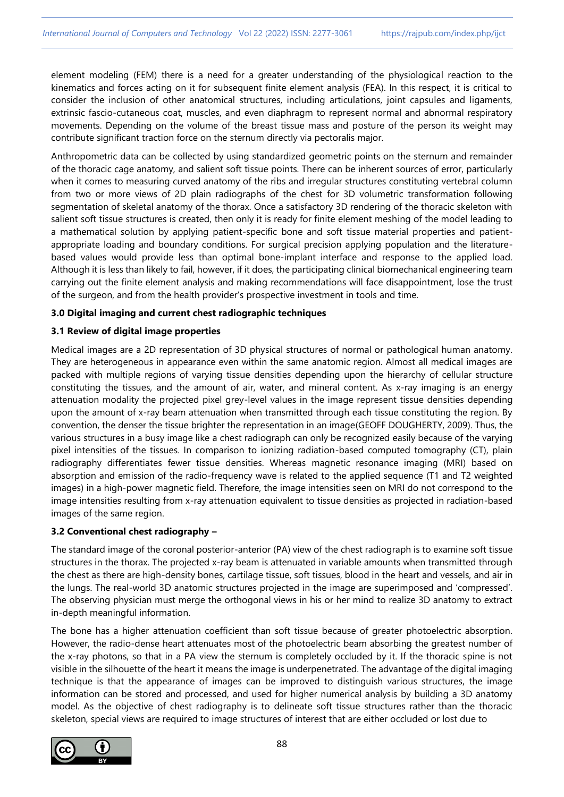element modeling (FEM) there is a need for a greater understanding of the physiological reaction to the kinematics and forces acting on it for subsequent finite element analysis (FEA). In this respect, it is critical to consider the inclusion of other anatomical structures, including articulations, joint capsules and ligaments, extrinsic fascio-cutaneous coat, muscles, and even diaphragm to represent normal and abnormal respiratory movements. Depending on the volume of the breast tissue mass and posture of the person its weight may contribute significant traction force on the sternum directly via pectoralis major.

Anthropometric data can be collected by using standardized geometric points on the sternum and remainder of the thoracic cage anatomy, and salient soft tissue points. There can be inherent sources of error, particularly when it comes to measuring curved anatomy of the ribs and irregular structures constituting vertebral column from two or more views of 2D plain radiographs of the chest for 3D volumetric transformation following segmentation of skeletal anatomy of the thorax. Once a satisfactory 3D rendering of the thoracic skeleton with salient soft tissue structures is created, then only it is ready for finite element meshing of the model leading to a mathematical solution by applying patient-specific bone and soft tissue material properties and patientappropriate loading and boundary conditions. For surgical precision applying population and the literaturebased values would provide less than optimal bone-implant interface and response to the applied load. Although it is less than likely to fail, however, if it does, the participating clinical biomechanical engineering team carrying out the finite element analysis and making recommendations will face disappointment, lose the trust of the surgeon, and from the health provider's prospective investment in tools and time.

## **3.0 Digital imaging and current chest radiographic techniques**

#### **3.1 Review of digital image properties**

Medical images are a 2D representation of 3D physical structures of normal or pathological human anatomy. They are heterogeneous in appearance even within the same anatomic region. Almost all medical images are packed with multiple regions of varying tissue densities depending upon the hierarchy of cellular structure constituting the tissues, and the amount of air, water, and mineral content. As x-ray imaging is an energy attenuation modality the projected pixel grey-level values in the image represent tissue densities depending upon the amount of x-ray beam attenuation when transmitted through each tissue constituting the region. By convention, the denser the tissue brighter the representation in an image(GEOFF DOUGHERTY, 2009). Thus, the various structures in a busy image like a chest radiograph can only be recognized easily because of the varying pixel intensities of the tissues. In comparison to ionizing radiation-based computed tomography (CT), plain radiography differentiates fewer tissue densities. Whereas magnetic resonance imaging (MRI) based on absorption and emission of the radio-frequency wave is related to the applied sequence (T1 and T2 weighted images) in a high-power magnetic field. Therefore, the image intensities seen on MRI do not correspond to the image intensities resulting from x-ray attenuation equivalent to tissue densities as projected in radiation-based images of the same region.

## **3.2 Conventional chest radiography –**

The standard image of the coronal posterior-anterior (PA) view of the chest radiograph is to examine soft tissue structures in the thorax. The projected x-ray beam is attenuated in variable amounts when transmitted through the chest as there are high-density bones, cartilage tissue, soft tissues, blood in the heart and vessels, and air in the lungs. The real-world 3D anatomic structures projected in the image are superimposed and 'compressed'. The observing physician must merge the orthogonal views in his or her mind to realize 3D anatomy to extract in-depth meaningful information.

The bone has a higher attenuation coefficient than soft tissue because of greater photoelectric absorption. However, the radio-dense heart attenuates most of the photoelectric beam absorbing the greatest number of the x-ray photons, so that in a PA view the sternum is completely occluded by it. If the thoracic spine is not visible in the silhouette of the heart it means the image is underpenetrated. The advantage of the digital imaging technique is that the appearance of images can be improved to distinguish various structures, the image information can be stored and processed, and used for higher numerical analysis by building a 3D anatomy model. As the objective of chest radiography is to delineate soft tissue structures rather than the thoracic skeleton, special views are required to image structures of interest that are either occluded or lost due to

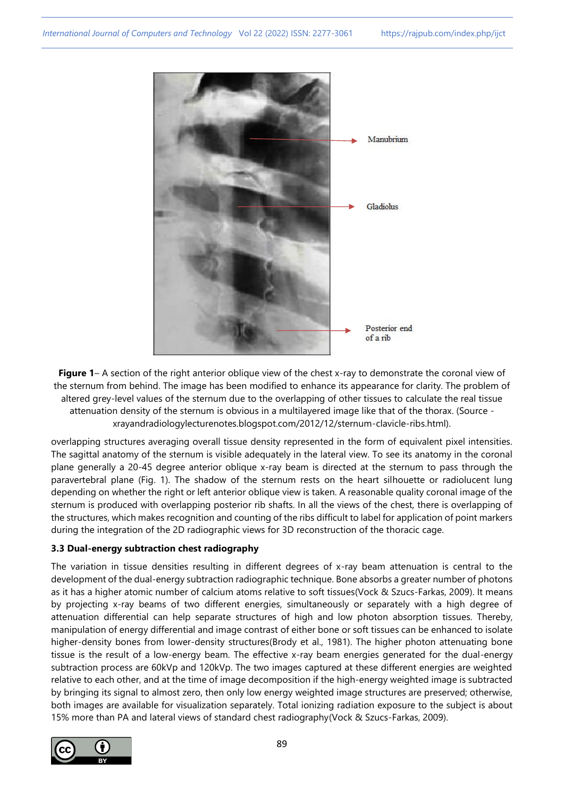

**Figure 1**– A section of the right anterior oblique view of the chest x-ray to demonstrate the coronal view of the sternum from behind. The image has been modified to enhance its appearance for clarity. The problem of altered grey-level values of the sternum due to the overlapping of other tissues to calculate the real tissue attenuation density of the sternum is obvious in a multilayered image like that of the thorax. (Source xrayandradiologylecturenotes.blogspot.com/2012/12/sternum-clavicle-ribs.html).

overlapping structures averaging overall tissue density represented in the form of equivalent pixel intensities. The sagittal anatomy of the sternum is visible adequately in the lateral view. To see its anatomy in the coronal plane generally a 20-45 degree anterior oblique x-ray beam is directed at the sternum to pass through the paravertebral plane (Fig. 1). The shadow of the sternum rests on the heart silhouette or radiolucent lung depending on whether the right or left anterior oblique view is taken. A reasonable quality coronal image of the sternum is produced with overlapping posterior rib shafts. In all the views of the chest, there is overlapping of the structures, which makes recognition and counting of the ribs difficult to label for application of point markers during the integration of the 2D radiographic views for 3D reconstruction of the thoracic cage.

# **3.3 Dual-energy subtraction chest radiography**

The variation in tissue densities resulting in different degrees of x-ray beam attenuation is central to the development of the dual-energy subtraction radiographic technique. Bone absorbs a greater number of photons as it has a higher atomic number of calcium atoms relative to soft tissues(Vock & Szucs-Farkas, 2009). It means by projecting x-ray beams of two different energies, simultaneously or separately with a high degree of attenuation differential can help separate structures of high and low photon absorption tissues. Thereby, manipulation of energy differential and image contrast of either bone or soft tissues can be enhanced to isolate higher-density bones from lower-density structures(Brody et al., 1981). The higher photon attenuating bone tissue is the result of a low-energy beam. The effective x-ray beam energies generated for the dual-energy subtraction process are 60kVp and 120kVp. The two images captured at these different energies are weighted relative to each other, and at the time of image decomposition if the high-energy weighted image is subtracted by bringing its signal to almost zero, then only low energy weighted image structures are preserved; otherwise, both images are available for visualization separately. Total ionizing radiation exposure to the subject is about 15% more than PA and lateral views of standard chest radiography(Vock & Szucs-Farkas, 2009).

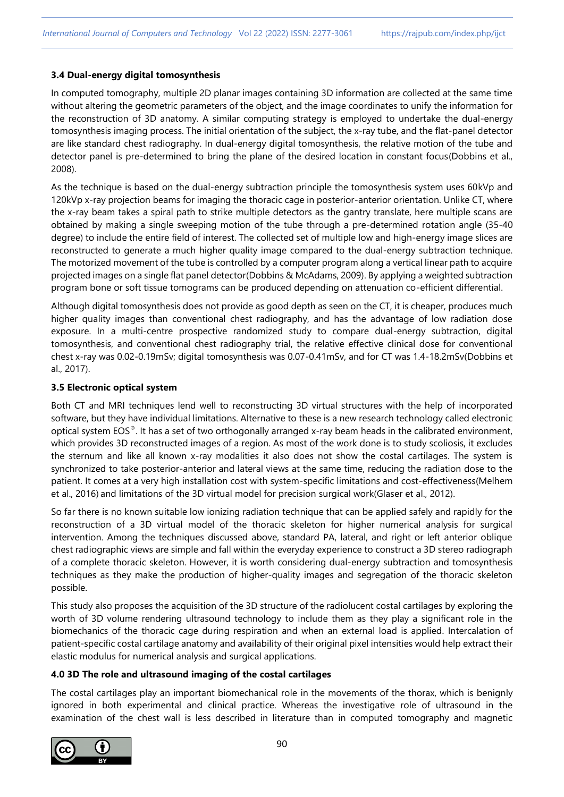#### **3.4 Dual-energy digital tomosynthesis**

In computed tomography, multiple 2D planar images containing 3D information are collected at the same time without altering the geometric parameters of the object, and the image coordinates to unify the information for the reconstruction of 3D anatomy. A similar computing strategy is employed to undertake the dual-energy tomosynthesis imaging process. The initial orientation of the subject, the x-ray tube, and the flat-panel detector are like standard chest radiography. In dual-energy digital tomosynthesis, the relative motion of the tube and detector panel is pre-determined to bring the plane of the desired location in constant focus(Dobbins et al., 2008).

As the technique is based on the dual-energy subtraction principle the tomosynthesis system uses 60kVp and 120kVp x-ray projection beams for imaging the thoracic cage in posterior-anterior orientation. Unlike CT, where the x-ray beam takes a spiral path to strike multiple detectors as the gantry translate, here multiple scans are obtained by making a single sweeping motion of the tube through a pre-determined rotation angle (35-40 degree) to include the entire field of interest. The collected set of multiple low and high-energy image slices are reconstructed to generate a much higher quality image compared to the dual-energy subtraction technique. The motorized movement of the tube is controlled by a computer program along a vertical linear path to acquire projected images on a single flat panel detector(Dobbins & McAdams, 2009). By applying a weighted subtraction program bone or soft tissue tomograms can be produced depending on attenuation co-efficient differential.

Although digital tomosynthesis does not provide as good depth as seen on the CT, it is cheaper, produces much higher quality images than conventional chest radiography, and has the advantage of low radiation dose exposure. In a multi-centre prospective randomized study to compare dual-energy subtraction, digital tomosynthesis, and conventional chest radiography trial, the relative effective clinical dose for conventional chest x-ray was 0.02-0.19mSv; digital tomosynthesis was 0.07-0.41mSv, and for CT was 1.4-18.2mSv(Dobbins et al., 2017).

## **3.5 Electronic optical system**

Both CT and MRI techniques lend well to reconstructing 3D virtual structures with the help of incorporated software, but they have individual limitations. Alternative to these is a new research technology called electronic optical system EOS®. It has a set of two orthogonally arranged x-ray beam heads in the calibrated environment, which provides 3D reconstructed images of a region. As most of the work done is to study scoliosis, it excludes the sternum and like all known x-ray modalities it also does not show the costal cartilages. The system is synchronized to take posterior-anterior and lateral views at the same time, reducing the radiation dose to the patient. It comes at a very high installation cost with system-specific limitations and cost-effectiveness(Melhem et al., 2016) and limitations of the 3D virtual model for precision surgical work(Glaser et al., 2012).

So far there is no known suitable low ionizing radiation technique that can be applied safely and rapidly for the reconstruction of a 3D virtual model of the thoracic skeleton for higher numerical analysis for surgical intervention. Among the techniques discussed above, standard PA, lateral, and right or left anterior oblique chest radiographic views are simple and fall within the everyday experience to construct a 3D stereo radiograph of a complete thoracic skeleton. However, it is worth considering dual-energy subtraction and tomosynthesis techniques as they make the production of higher-quality images and segregation of the thoracic skeleton possible.

This study also proposes the acquisition of the 3D structure of the radiolucent costal cartilages by exploring the worth of 3D volume rendering ultrasound technology to include them as they play a significant role in the biomechanics of the thoracic cage during respiration and when an external load is applied. Intercalation of patient-specific costal cartilage anatomy and availability of their original pixel intensities would help extract their elastic modulus for numerical analysis and surgical applications.

#### **4.0 3D The role and ultrasound imaging of the costal cartilages**

The costal cartilages play an important biomechanical role in the movements of the thorax, which is benignly ignored in both experimental and clinical practice. Whereas the investigative role of ultrasound in the examination of the chest wall is less described in literature than in computed tomography and magnetic

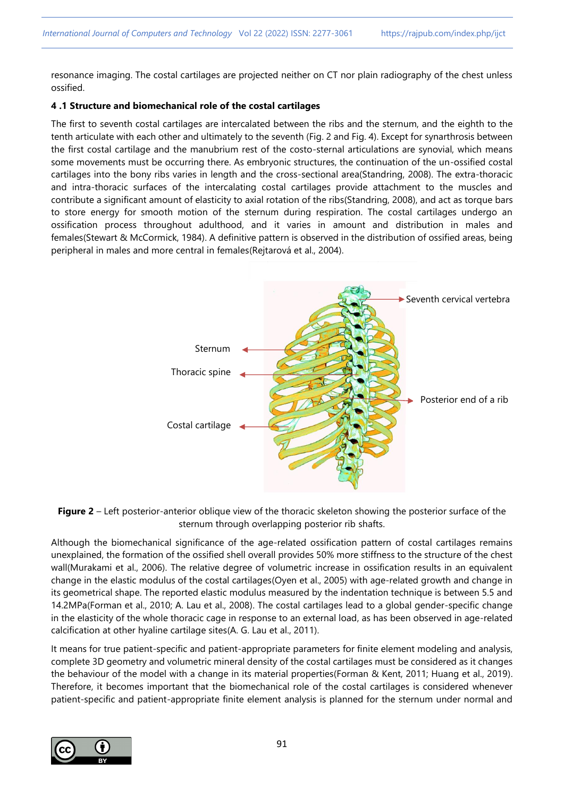resonance imaging. The costal cartilages are projected neither on CT nor plain radiography of the chest unless ossified.

# **4 .1 Structure and biomechanical role of the costal cartilages**

The first to seventh costal cartilages are intercalated between the ribs and the sternum, and the eighth to the tenth articulate with each other and ultimately to the seventh (Fig. 2 and Fig. 4). Except for synarthrosis between the first costal cartilage and the manubrium rest of the costo-sternal articulations are synovial, which means some movements must be occurring there. As embryonic structures, the continuation of the un-ossified costal cartilages into the bony ribs varies in length and the cross-sectional area(Standring, 2008). The extra-thoracic and intra-thoracic surfaces of the intercalating costal cartilages provide attachment to the muscles and contribute a significant amount of elasticity to axial rotation of the ribs(Standring, 2008), and act as torque bars to store energy for smooth motion of the sternum during respiration. The costal cartilages undergo an ossification process throughout adulthood, and it varies in amount and distribution in males and females(Stewart & McCormick, 1984). A definitive pattern is observed in the distribution of ossified areas, being peripheral in males and more central in females(Rejtarová et al., 2004).



**Figure 2** – Left posterior-anterior oblique view of the thoracic skeleton showing the posterior surface of the sternum through overlapping posterior rib shafts.

Although the biomechanical significance of the age-related ossification pattern of costal cartilages remains unexplained, the formation of the ossified shell overall provides 50% more stiffness to the structure of the chest wall(Murakami et al., 2006). The relative degree of volumetric increase in ossification results in an equivalent change in the elastic modulus of the costal cartilages(Oyen et al., 2005) with age-related growth and change in its geometrical shape. The reported elastic modulus measured by the indentation technique is between 5.5 and 14.2MPa(Forman et al., 2010; A. Lau et al., 2008). The costal cartilages lead to a global gender-specific change in the elasticity of the whole thoracic cage in response to an external load, as has been observed in age-related calcification at other hyaline cartilage sites(A. G. Lau et al., 2011).

It means for true patient-specific and patient-appropriate parameters for finite element modeling and analysis, complete 3D geometry and volumetric mineral density of the costal cartilages must be considered as it changes the behaviour of the model with a change in its material properties(Forman & Kent, 2011; Huang et al., 2019). Therefore, it becomes important that the biomechanical role of the costal cartilages is considered whenever patient-specific and patient-appropriate finite element analysis is planned for the sternum under normal and

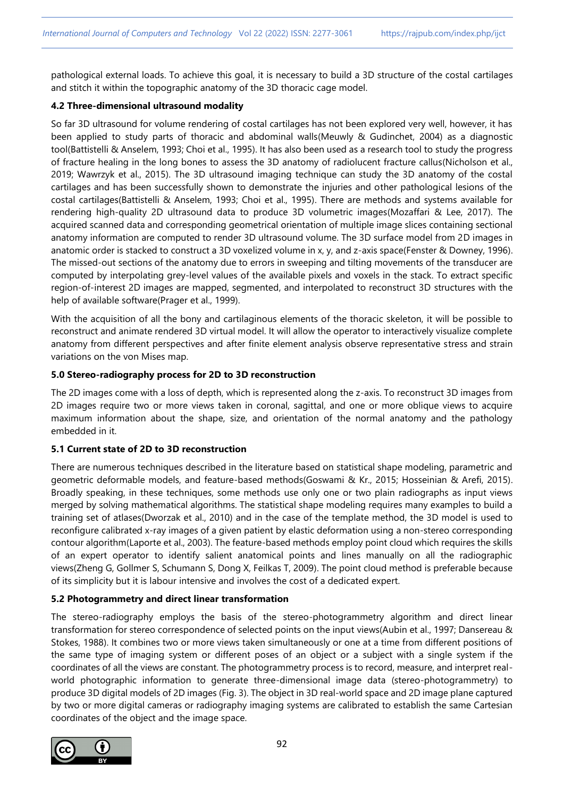pathological external loads. To achieve this goal, it is necessary to build a 3D structure of the costal cartilages and stitch it within the topographic anatomy of the 3D thoracic cage model.

# **4.2 Three-dimensional ultrasound modality**

So far 3D ultrasound for volume rendering of costal cartilages has not been explored very well, however, it has been applied to study parts of thoracic and abdominal walls(Meuwly & Gudinchet, 2004) as a diagnostic tool(Battistelli & Anselem, 1993; Choi et al., 1995). It has also been used as a research tool to study the progress of fracture healing in the long bones to assess the 3D anatomy of radiolucent fracture callus(Nicholson et al., 2019; Wawrzyk et al., 2015). The 3D ultrasound imaging technique can study the 3D anatomy of the costal cartilages and has been successfully shown to demonstrate the injuries and other pathological lesions of the costal cartilages(Battistelli & Anselem, 1993; Choi et al., 1995). There are methods and systems available for rendering high-quality 2D ultrasound data to produce 3D volumetric images(Mozaffari & Lee, 2017). The acquired scanned data and corresponding geometrical orientation of multiple image slices containing sectional anatomy information are computed to render 3D ultrasound volume. The 3D surface model from 2D images in anatomic order is stacked to construct a 3D voxelized volume in x, y, and z-axis space(Fenster & Downey, 1996). The missed-out sections of the anatomy due to errors in sweeping and tilting movements of the transducer are computed by interpolating grey-level values of the available pixels and voxels in the stack. To extract specific region-of-interest 2D images are mapped, segmented, and interpolated to reconstruct 3D structures with the help of available software(Prager et al., 1999).

With the acquisition of all the bony and cartilaginous elements of the thoracic skeleton, it will be possible to reconstruct and animate rendered 3D virtual model. It will allow the operator to interactively visualize complete anatomy from different perspectives and after finite element analysis observe representative stress and strain variations on the von Mises map.

# **5.0 Stereo-radiography process for 2D to 3D reconstruction**

The 2D images come with a loss of depth, which is represented along the z-axis. To reconstruct 3D images from 2D images require two or more views taken in coronal, sagittal, and one or more oblique views to acquire maximum information about the shape, size, and orientation of the normal anatomy and the pathology embedded in it.

## **5.1 Current state of 2D to 3D reconstruction**

There are numerous techniques described in the literature based on statistical shape modeling, parametric and geometric deformable models, and feature-based methods(Goswami & Kr., 2015; Hosseinian & Arefi, 2015). Broadly speaking, in these techniques, some methods use only one or two plain radiographs as input views merged by solving mathematical algorithms. The statistical shape modeling requires many examples to build a training set of atlases(Dworzak et al., 2010) and in the case of the template method, the 3D model is used to reconfigure calibrated x-ray images of a given patient by elastic deformation using a non-stereo corresponding contour algorithm(Laporte et al., 2003). The feature-based methods employ point cloud which requires the skills of an expert operator to identify salient anatomical points and lines manually on all the radiographic views(Zheng G, Gollmer S, Schumann S, Dong X, Feilkas T, 2009). The point cloud method is preferable because of its simplicity but it is labour intensive and involves the cost of a dedicated expert.

# **5.2 Photogrammetry and direct linear transformation**

The stereo-radiography employs the basis of the stereo-photogrammetry algorithm and direct linear transformation for stereo correspondence of selected points on the input views(Aubin et al., 1997; Dansereau & Stokes, 1988). It combines two or more views taken simultaneously or one at a time from different positions of the same type of imaging system or different poses of an object or a subject with a single system if the coordinates of all the views are constant. The photogrammetry process is to record, measure, and interpret realworld photographic information to generate three-dimensional image data (stereo-photogrammetry) to produce 3D digital models of 2D images (Fig. 3). The object in 3D real-world space and 2D image plane captured by two or more digital cameras or radiography imaging systems are calibrated to establish the same Cartesian coordinates of the object and the image space.

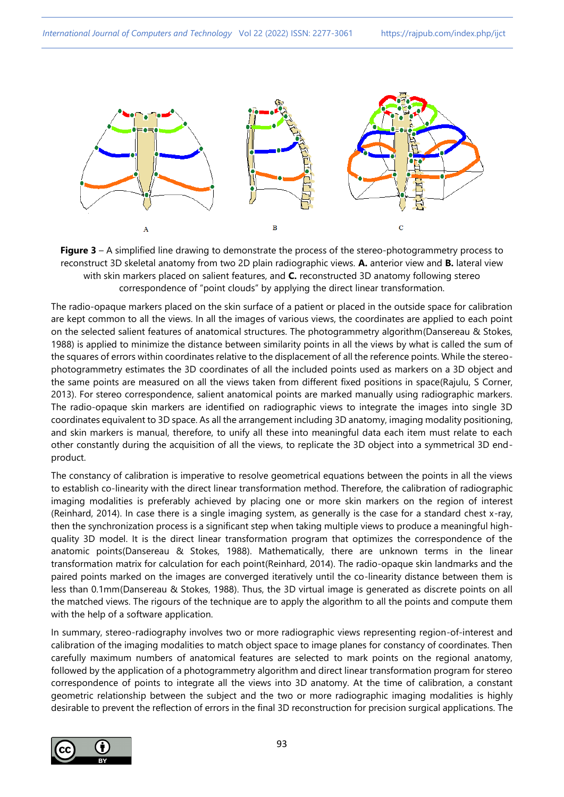

**Figure 3** – A simplified line drawing to demonstrate the process of the stereo-photogrammetry process to reconstruct 3D skeletal anatomy from two 2D plain radiographic views. **A.** anterior view and **B.** lateral view with skin markers placed on salient features, and **C.** reconstructed 3D anatomy following stereo correspondence of "point clouds" by applying the direct linear transformation.

The radio-opaque markers placed on the skin surface of a patient or placed in the outside space for calibration are kept common to all the views. In all the images of various views, the coordinates are applied to each point on the selected salient features of anatomical structures. The photogrammetry algorithm(Dansereau & Stokes, 1988) is applied to minimize the distance between similarity points in all the views by what is called the sum of the squares of errors within coordinates relative to the displacement of all the reference points. While the stereophotogrammetry estimates the 3D coordinates of all the included points used as markers on a 3D object and the same points are measured on all the views taken from different fixed positions in space(Rajulu, S Corner, 2013). For stereo correspondence, salient anatomical points are marked manually using radiographic markers. The radio-opaque skin markers are identified on radiographic views to integrate the images into single 3D coordinates equivalent to 3D space. As all the arrangement including 3D anatomy, imaging modality positioning, and skin markers is manual, therefore, to unify all these into meaningful data each item must relate to each other constantly during the acquisition of all the views, to replicate the 3D object into a symmetrical 3D endproduct.

The constancy of calibration is imperative to resolve geometrical equations between the points in all the views to establish co-linearity with the direct linear transformation method. Therefore, the calibration of radiographic imaging modalities is preferably achieved by placing one or more skin markers on the region of interest (Reinhard, 2014). In case there is a single imaging system, as generally is the case for a standard chest x-ray, then the synchronization process is a significant step when taking multiple views to produce a meaningful highquality 3D model. It is the direct linear transformation program that optimizes the correspondence of the anatomic points(Dansereau & Stokes, 1988). Mathematically, there are unknown terms in the linear transformation matrix for calculation for each point(Reinhard, 2014). The radio-opaque skin landmarks and the paired points marked on the images are converged iteratively until the co-linearity distance between them is less than 0.1mm(Dansereau & Stokes, 1988). Thus, the 3D virtual image is generated as discrete points on all the matched views. The rigours of the technique are to apply the algorithm to all the points and compute them with the help of a software application.

In summary, stereo-radiography involves two or more radiographic views representing region-of-interest and calibration of the imaging modalities to match object space to image planes for constancy of coordinates. Then carefully maximum numbers of anatomical features are selected to mark points on the regional anatomy, followed by the application of a photogrammetry algorithm and direct linear transformation program for stereo correspondence of points to integrate all the views into 3D anatomy. At the time of calibration, a constant geometric relationship between the subject and the two or more radiographic imaging modalities is highly desirable to prevent the reflection of errors in the final 3D reconstruction for precision surgical applications. The

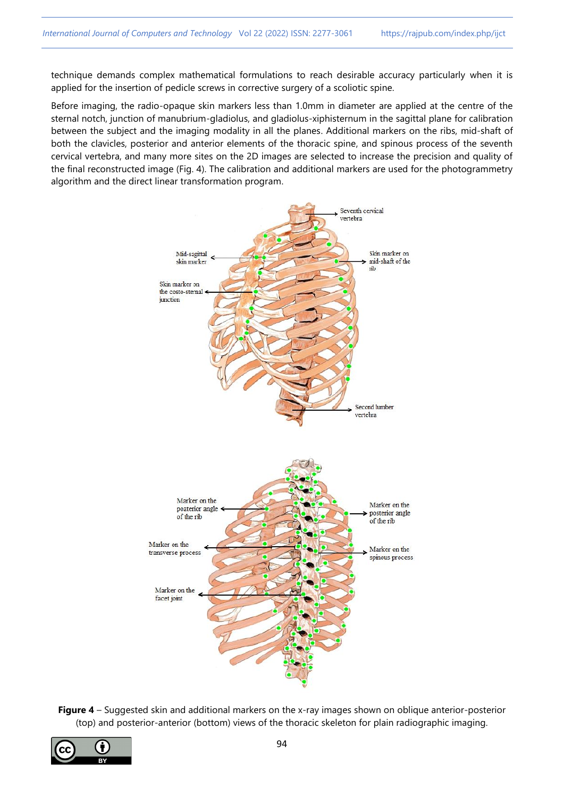technique demands complex mathematical formulations to reach desirable accuracy particularly when it is applied for the insertion of pedicle screws in corrective surgery of a scoliotic spine.

Before imaging, the radio-opaque skin markers less than 1.0mm in diameter are applied at the centre of the sternal notch, junction of manubrium-gladiolus, and gladiolus-xiphisternum in the sagittal plane for calibration between the subject and the imaging modality in all the planes. Additional markers on the ribs, mid-shaft of both the clavicles, posterior and anterior elements of the thoracic spine, and spinous process of the seventh cervical vertebra, and many more sites on the 2D images are selected to increase the precision and quality of the final reconstructed image (Fig. 4). The calibration and additional markers are used for the photogrammetry algorithm and the direct linear transformation program.



**Figure 4** – Suggested skin and additional markers on the x-ray images shown on oblique anterior-posterior (top) and posterior-anterior (bottom) views of the thoracic skeleton for plain radiographic imaging.

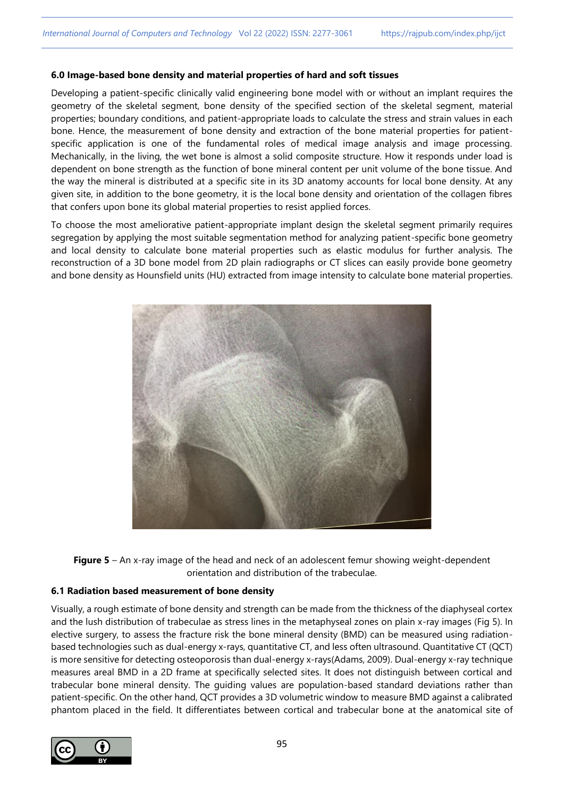#### **6.0 Image-based bone density and material properties of hard and soft tissues**

Developing a patient-specific clinically valid engineering bone model with or without an implant requires the geometry of the skeletal segment, bone density of the specified section of the skeletal segment, material properties; boundary conditions, and patient-appropriate loads to calculate the stress and strain values in each bone. Hence, the measurement of bone density and extraction of the bone material properties for patientspecific application is one of the fundamental roles of medical image analysis and image processing. Mechanically, in the living, the wet bone is almost a solid composite structure. How it responds under load is dependent on bone strength as the function of bone mineral content per unit volume of the bone tissue. And the way the mineral is distributed at a specific site in its 3D anatomy accounts for local bone density. At any given site, in addition to the bone geometry, it is the local bone density and orientation of the collagen fibres that confers upon bone its global material properties to resist applied forces.

To choose the most ameliorative patient-appropriate implant design the skeletal segment primarily requires segregation by applying the most suitable segmentation method for analyzing patient-specific bone geometry and local density to calculate bone material properties such as elastic modulus for further analysis. The reconstruction of a 3D bone model from 2D plain radiographs or CT slices can easily provide bone geometry and bone density as Hounsfield units (HU) extracted from image intensity to calculate bone material properties.



**Figure 5** – An x-ray image of the head and neck of an adolescent femur showing weight-dependent orientation and distribution of the trabeculae.

#### **6.1 Radiation based measurement of bone density**

Visually, a rough estimate of bone density and strength can be made from the thickness of the diaphyseal cortex and the lush distribution of trabeculae as stress lines in the metaphyseal zones on plain x-ray images (Fig 5). In elective surgery, to assess the fracture risk the bone mineral density (BMD) can be measured using radiationbased technologies such as dual-energy x-rays, quantitative CT, and less often ultrasound. Quantitative CT (QCT) is more sensitive for detecting osteoporosis than dual-energy x-rays(Adams, 2009). Dual-energy x-ray technique measures areal BMD in a 2D frame at specifically selected sites. It does not distinguish between cortical and trabecular bone mineral density. The guiding values are population-based standard deviations rather than patient-specific. On the other hand, QCT provides a 3D volumetric window to measure BMD against a calibrated phantom placed in the field. It differentiates between cortical and trabecular bone at the anatomical site of

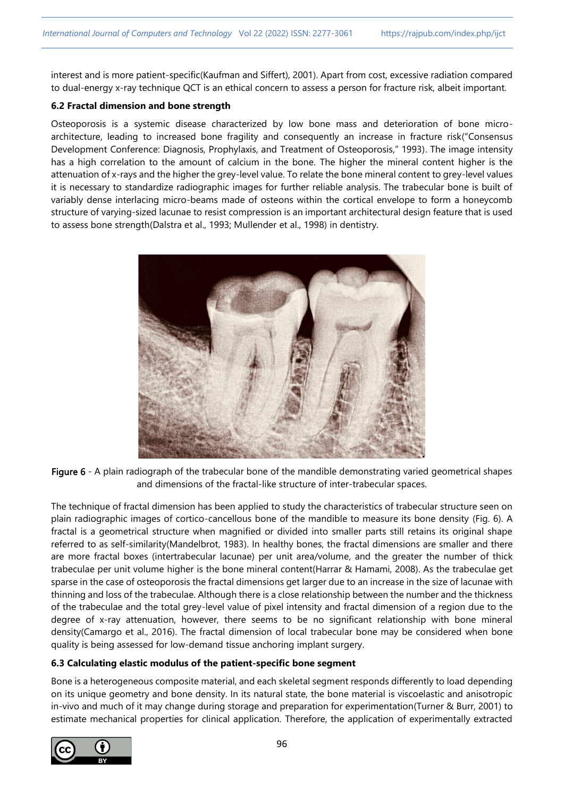interest and is more patient-specific(Kaufman and Siffert), 2001). Apart from cost, excessive radiation compared to dual-energy x-ray technique QCT is an ethical concern to assess a person for fracture risk, albeit important.

## **6.2 Fractal dimension and bone strength**

Osteoporosis is a systemic disease characterized by low bone mass and deterioration of bone microarchitecture, leading to increased bone fragility and consequently an increase in fracture risk("Consensus Development Conference: Diagnosis, Prophylaxis, and Treatment of Osteoporosis," 1993). The image intensity has a high correlation to the amount of calcium in the bone. The higher the mineral content higher is the attenuation of x-rays and the higher the grey-level value. To relate the bone mineral content to grey-level values it is necessary to standardize radiographic images for further reliable analysis. The trabecular bone is built of variably dense interlacing micro-beams made of osteons within the cortical envelope to form a honeycomb structure of varying-sized lacunae to resist compression is an important architectural design feature that is used to assess bone strength(Dalstra et al., 1993; Mullender et al., 1998) in dentistry.



Figure 6 - A plain radiograph of the trabecular bone of the mandible demonstrating varied geometrical shapes and dimensions of the fractal-like structure of inter-trabecular spaces.

The technique of fractal dimension has been applied to study the characteristics of trabecular structure seen on plain radiographic images of cortico-cancellous bone of the mandible to measure its bone density (Fig. 6). A fractal is a geometrical structure when magnified or divided into smaller parts still retains its original shape referred to as self-similarity(Mandelbrot, 1983). In healthy bones, the fractal dimensions are smaller and there are more fractal boxes (intertrabecular lacunae) per unit area/volume, and the greater the number of thick trabeculae per unit volume higher is the bone mineral content(Harrar & Hamami, 2008). As the trabeculae get sparse in the case of osteoporosis the fractal dimensions get larger due to an increase in the size of lacunae with thinning and loss of the trabeculae. Although there is a close relationship between the number and the thickness of the trabeculae and the total grey-level value of pixel intensity and fractal dimension of a region due to the degree of x-ray attenuation, however, there seems to be no significant relationship with bone mineral density(Camargo et al., 2016). The fractal dimension of local trabecular bone may be considered when bone quality is being assessed for low-demand tissue anchoring implant surgery.

# **6.3 Calculating elastic modulus of the patient-specific bone segment**

Bone is a heterogeneous composite material, and each skeletal segment responds differently to load depending on its unique geometry and bone density. In its natural state, the bone material is viscoelastic and anisotropic in-vivo and much of it may change during storage and preparation for experimentation(Turner & Burr, 2001) to estimate mechanical properties for clinical application. Therefore, the application of experimentally extracted

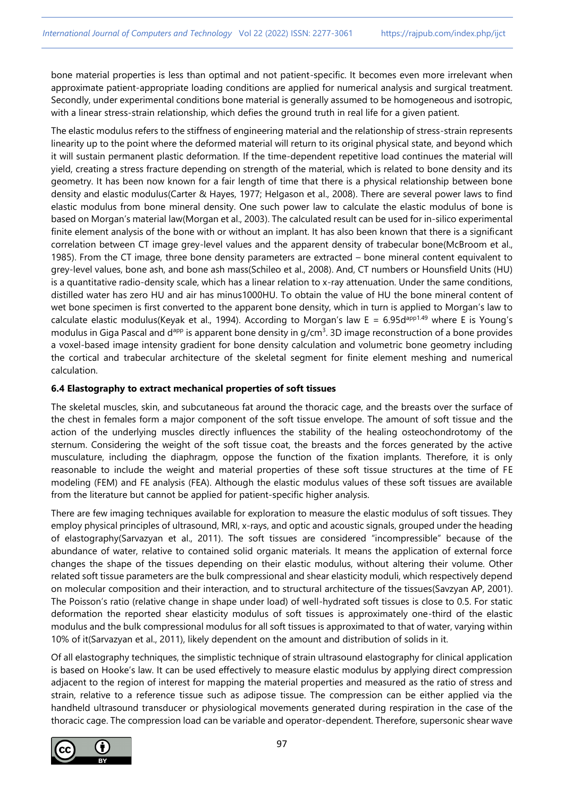bone material properties is less than optimal and not patient-specific. It becomes even more irrelevant when approximate patient-appropriate loading conditions are applied for numerical analysis and surgical treatment. Secondly, under experimental conditions bone material is generally assumed to be homogeneous and isotropic, with a linear stress-strain relationship, which defies the ground truth in real life for a given patient.

The elastic modulus refers to the stiffness of engineering material and the relationship of stress-strain represents linearity up to the point where the deformed material will return to its original physical state, and beyond which it will sustain permanent plastic deformation. If the time-dependent repetitive load continues the material will yield, creating a stress fracture depending on strength of the material, which is related to bone density and its geometry. It has been now known for a fair length of time that there is a physical relationship between bone density and elastic modulus(Carter & Hayes, 1977; Helgason et al., 2008). There are several power laws to find elastic modulus from bone mineral density. One such power law to calculate the elastic modulus of bone is based on Morgan's material law(Morgan et al., 2003). The calculated result can be used for in-silico experimental finite element analysis of the bone with or without an implant. It has also been known that there is a significant correlation between CT image grey-level values and the apparent density of trabecular bone(McBroom et al., 1985). From the CT image, three bone density parameters are extracted – bone mineral content equivalent to grey-level values, bone ash, and bone ash mass(Schileo et al., 2008). And, CT numbers or Hounsfield Units (HU) is a quantitative radio-density scale, which has a linear relation to x-ray attenuation. Under the same conditions, distilled water has zero HU and air has minus1000HU. To obtain the value of HU the bone mineral content of wet bone specimen is first converted to the apparent bone density, which in turn is applied to Morgan's law to calculate elastic modulus(Keyak et al., 1994). According to Morgan's law E = 6.95d<sup>app1.49</sup> where E is Young's modulus in Giga Pascal and d<sup>app</sup> is apparent bone density in g/cm<sup>3</sup>. 3D image reconstruction of a bone provides a voxel-based image intensity gradient for bone density calculation and volumetric bone geometry including the cortical and trabecular architecture of the skeletal segment for finite element meshing and numerical calculation.

## **6.4 Elastography to extract mechanical properties of soft tissues**

The skeletal muscles, skin, and subcutaneous fat around the thoracic cage, and the breasts over the surface of the chest in females form a major component of the soft tissue envelope. The amount of soft tissue and the action of the underlying muscles directly influences the stability of the healing osteochondrotomy of the sternum. Considering the weight of the soft tissue coat, the breasts and the forces generated by the active musculature, including the diaphragm, oppose the function of the fixation implants. Therefore, it is only reasonable to include the weight and material properties of these soft tissue structures at the time of FE modeling (FEM) and FE analysis (FEA). Although the elastic modulus values of these soft tissues are available from the literature but cannot be applied for patient-specific higher analysis.

There are few imaging techniques available for exploration to measure the elastic modulus of soft tissues. They employ physical principles of ultrasound, MRI, x-rays, and optic and acoustic signals, grouped under the heading of elastography(Sarvazyan et al., 2011). The soft tissues are considered "incompressible" because of the abundance of water, relative to contained solid organic materials. It means the application of external force changes the shape of the tissues depending on their elastic modulus, without altering their volume. Other related soft tissue parameters are the bulk compressional and shear elasticity moduli, which respectively depend on molecular composition and their interaction, and to structural architecture of the tissues(Savzyan AP, 2001). The Poisson's ratio (relative change in shape under load) of well-hydrated soft tissues is close to 0.5. For static deformation the reported shear elasticity modulus of soft tissues is approximately one-third of the elastic modulus and the bulk compressional modulus for all soft tissues is approximated to that of water, varying within 10% of it(Sarvazyan et al., 2011), likely dependent on the amount and distribution of solids in it.

Of all elastography techniques, the simplistic technique of strain ultrasound elastography for clinical application is based on Hooke's law. It can be used effectively to measure elastic modulus by applying direct compression adjacent to the region of interest for mapping the material properties and measured as the ratio of stress and strain, relative to a reference tissue such as adipose tissue. The compression can be either applied via the handheld ultrasound transducer or physiological movements generated during respiration in the case of the thoracic cage. The compression load can be variable and operator-dependent. Therefore, supersonic shear wave

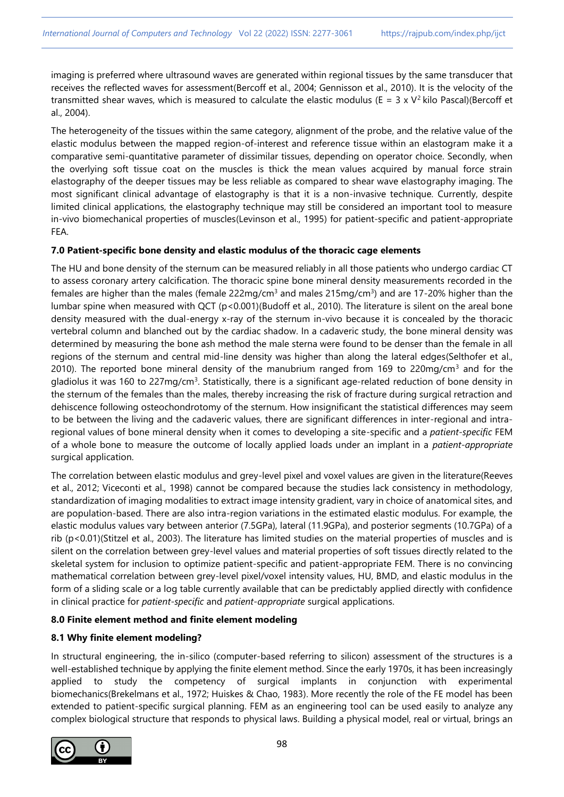imaging is preferred where ultrasound waves are generated within regional tissues by the same transducer that receives the reflected waves for assessment(Bercoff et al., 2004; Gennisson et al., 2010). It is the velocity of the transmitted shear waves, which is measured to calculate the elastic modulus (E =  $3 \times V^2$  kilo Pascal)(Bercoff et al., 2004).

The heterogeneity of the tissues within the same category, alignment of the probe, and the relative value of the elastic modulus between the mapped region-of-interest and reference tissue within an elastogram make it a comparative semi-quantitative parameter of dissimilar tissues, depending on operator choice. Secondly, when the overlying soft tissue coat on the muscles is thick the mean values acquired by manual force strain elastography of the deeper tissues may be less reliable as compared to shear wave elastography imaging. The most significant clinical advantage of elastography is that it is a non-invasive technique. Currently, despite limited clinical applications, the elastography technique may still be considered an important tool to measure in-vivo biomechanical properties of muscles(Levinson et al., 1995) for patient-specific and patient-appropriate FEA.

## **7.0 Patient-specific bone density and elastic modulus of the thoracic cage elements**

The HU and bone density of the sternum can be measured reliably in all those patients who undergo cardiac CT to assess coronary artery calcification. The thoracic spine bone mineral density measurements recorded in the females are higher than the males (female 222mg/cm<sup>3</sup> and males 215mg/cm<sup>3</sup>) and are 17-20% higher than the lumbar spine when measured with QCT (p<0.001)(Budoff et al., 2010). The literature is silent on the areal bone density measured with the dual-energy x-ray of the sternum in-vivo because it is concealed by the thoracic vertebral column and blanched out by the cardiac shadow. In a cadaveric study, the bone mineral density was determined by measuring the bone ash method the male sterna were found to be denser than the female in all regions of the sternum and central mid-line density was higher than along the lateral edges(Selthofer et al., 2010). The reported bone mineral density of the manubrium ranged from 169 to 220mg/cm<sup>3</sup> and for the gladiolus it was 160 to 227mg/cm<sup>3</sup>. Statistically, there is a significant age-related reduction of bone density in the sternum of the females than the males, thereby increasing the risk of fracture during surgical retraction and dehiscence following osteochondrotomy of the sternum. How insignificant the statistical differences may seem to be between the living and the cadaveric values, there are significant differences in inter-regional and intraregional values of bone mineral density when it comes to developing a site-specific and a *patient-specific* FEM of a whole bone to measure the outcome of locally applied loads under an implant in a *patient-appropriate* surgical application.

The correlation between elastic modulus and grey-level pixel and voxel values are given in the literature(Reeves et al., 2012; Viceconti et al., 1998) cannot be compared because the studies lack consistency in methodology, standardization of imaging modalities to extract image intensity gradient, vary in choice of anatomical sites, and are population-based. There are also intra-region variations in the estimated elastic modulus. For example, the elastic modulus values vary between anterior (7.5GPa), lateral (11.9GPa), and posterior segments (10.7GPa) of a rib (p<0.01)(Stitzel et al., 2003). The literature has limited studies on the material properties of muscles and is silent on the correlation between grey-level values and material properties of soft tissues directly related to the skeletal system for inclusion to optimize patient-specific and patient-appropriate FEM. There is no convincing mathematical correlation between grey-level pixel/voxel intensity values, HU, BMD, and elastic modulus in the form of a sliding scale or a log table currently available that can be predictably applied directly with confidence in clinical practice for *patient-specific* and *patient-appropriate* surgical applications.

# **8.0 Finite element method and finite element modeling**

# **8.1 Why finite element modeling?**

In structural engineering, the in-silico (computer-based referring to silicon) assessment of the structures is a well-established technique by applying the finite element method. Since the early 1970s, it has been increasingly applied to study the competency of surgical implants in conjunction with experimental biomechanics(Brekelmans et al., 1972; Huiskes & Chao, 1983). More recently the role of the FE model has been extended to patient-specific surgical planning. FEM as an engineering tool can be used easily to analyze any complex biological structure that responds to physical laws. Building a physical model, real or virtual, brings an

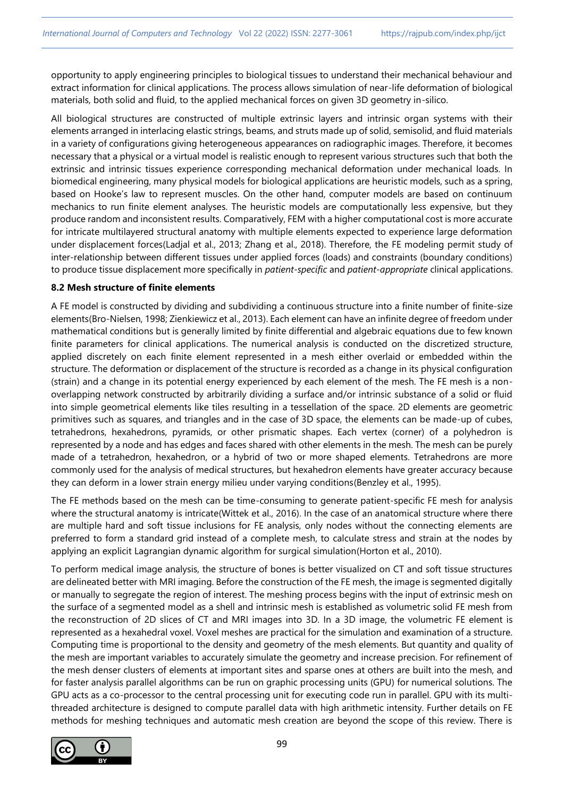opportunity to apply engineering principles to biological tissues to understand their mechanical behaviour and extract information for clinical applications. The process allows simulation of near-life deformation of biological materials, both solid and fluid, to the applied mechanical forces on given 3D geometry in-silico.

All biological structures are constructed of multiple extrinsic layers and intrinsic organ systems with their elements arranged in interlacing elastic strings, beams, and struts made up of solid, semisolid, and fluid materials in a variety of configurations giving heterogeneous appearances on radiographic images. Therefore, it becomes necessary that a physical or a virtual model is realistic enough to represent various structures such that both the extrinsic and intrinsic tissues experience corresponding mechanical deformation under mechanical loads. In biomedical engineering, many physical models for biological applications are heuristic models, such as a spring, based on Hooke's law to represent muscles. On the other hand, computer models are based on continuum mechanics to run finite element analyses. The heuristic models are computationally less expensive, but they produce random and inconsistent results. Comparatively, FEM with a higher computational cost is more accurate for intricate multilayered structural anatomy with multiple elements expected to experience large deformation under displacement forces(Ladjal et al., 2013; Zhang et al., 2018). Therefore, the FE modeling permit study of inter-relationship between different tissues under applied forces (loads) and constraints (boundary conditions) to produce tissue displacement more specifically in *patient-specific* and *patient-appropriate* clinical applications.

## **8.2 Mesh structure of finite elements**

A FE model is constructed by dividing and subdividing a continuous structure into a finite number of finite-size elements(Bro-Nielsen, 1998; Zienkiewicz et al., 2013). Each element can have an infinite degree of freedom under mathematical conditions but is generally limited by finite differential and algebraic equations due to few known finite parameters for clinical applications. The numerical analysis is conducted on the discretized structure, applied discretely on each finite element represented in a mesh either overlaid or embedded within the structure. The deformation or displacement of the structure is recorded as a change in its physical configuration (strain) and a change in its potential energy experienced by each element of the mesh. The FE mesh is a nonoverlapping network constructed by arbitrarily dividing a surface and/or intrinsic substance of a solid or fluid into simple geometrical elements like tiles resulting in a tessellation of the space. 2D elements are geometric primitives such as squares, and triangles and in the case of 3D space, the elements can be made-up of cubes, tetrahedrons, hexahedrons, pyramids, or other prismatic shapes. Each vertex (corner) of a polyhedron is represented by a node and has edges and faces shared with other elements in the mesh. The mesh can be purely made of a tetrahedron, hexahedron, or a hybrid of two or more shaped elements. Tetrahedrons are more commonly used for the analysis of medical structures, but hexahedron elements have greater accuracy because they can deform in a lower strain energy milieu under varying conditions(Benzley et al., 1995).

The FE methods based on the mesh can be time-consuming to generate patient-specific FE mesh for analysis where the structural anatomy is intricate(Wittek et al., 2016). In the case of an anatomical structure where there are multiple hard and soft tissue inclusions for FE analysis, only nodes without the connecting elements are preferred to form a standard grid instead of a complete mesh, to calculate stress and strain at the nodes by applying an explicit Lagrangian dynamic algorithm for surgical simulation(Horton et al., 2010).

To perform medical image analysis, the structure of bones is better visualized on CT and soft tissue structures are delineated better with MRI imaging. Before the construction of the FE mesh, the image is segmented digitally or manually to segregate the region of interest. The meshing process begins with the input of extrinsic mesh on the surface of a segmented model as a shell and intrinsic mesh is established as volumetric solid FE mesh from the reconstruction of 2D slices of CT and MRI images into 3D. In a 3D image, the volumetric FE element is represented as a hexahedral voxel. Voxel meshes are practical for the simulation and examination of a structure. Computing time is proportional to the density and geometry of the mesh elements. But quantity and quality of the mesh are important variables to accurately simulate the geometry and increase precision. For refinement of the mesh denser clusters of elements at important sites and sparse ones at others are built into the mesh, and for faster analysis parallel algorithms can be run on graphic processing units (GPU) for numerical solutions. The GPU acts as a co-processor to the central processing unit for executing code run in parallel. GPU with its multithreaded architecture is designed to compute parallel data with high arithmetic intensity. Further details on FE methods for meshing techniques and automatic mesh creation are beyond the scope of this review. There is

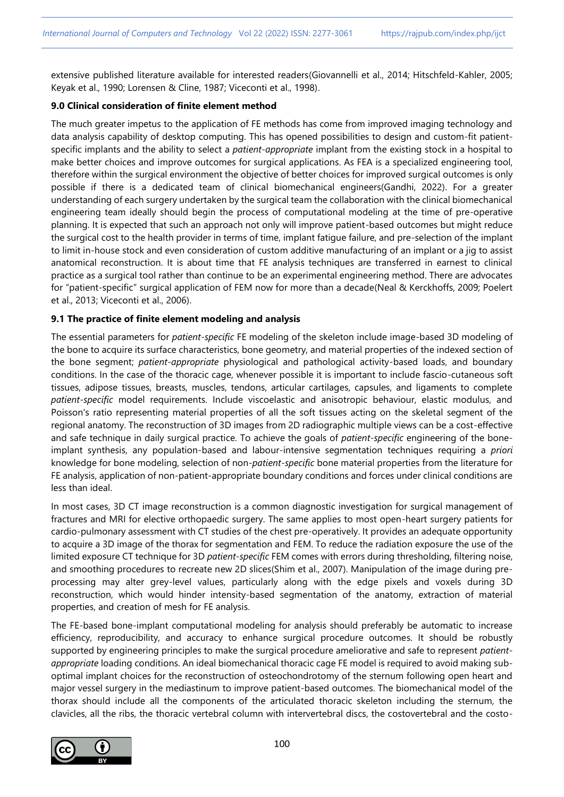extensive published literature available for interested readers(Giovannelli et al., 2014; Hitschfeld-Kahler, 2005; Keyak et al., 1990; Lorensen & Cline, 1987; Viceconti et al., 1998).

## **9.0 Clinical consideration of finite element method**

The much greater impetus to the application of FE methods has come from improved imaging technology and data analysis capability of desktop computing. This has opened possibilities to design and custom-fit patientspecific implants and the ability to select a *patient-appropriate* implant from the existing stock in a hospital to make better choices and improve outcomes for surgical applications. As FEA is a specialized engineering tool, therefore within the surgical environment the objective of better choices for improved surgical outcomes is only possible if there is a dedicated team of clinical biomechanical engineers(Gandhi, 2022). For a greater understanding of each surgery undertaken by the surgical team the collaboration with the clinical biomechanical engineering team ideally should begin the process of computational modeling at the time of pre-operative planning. It is expected that such an approach not only will improve patient-based outcomes but might reduce the surgical cost to the health provider in terms of time, implant fatigue failure, and pre-selection of the implant to limit in-house stock and even consideration of custom additive manufacturing of an implant or a jig to assist anatomical reconstruction. It is about time that FE analysis techniques are transferred in earnest to clinical practice as a surgical tool rather than continue to be an experimental engineering method. There are advocates for "patient-specific" surgical application of FEM now for more than a decade(Neal & Kerckhoffs, 2009; Poelert et al., 2013; Viceconti et al., 2006).

# **9.1 The practice of finite element modeling and analysis**

The essential parameters for *patient-specific* FE modeling of the skeleton include image-based 3D modeling of the bone to acquire its surface characteristics, bone geometry, and material properties of the indexed section of the bone segment; *patient-appropriate* physiological and pathological activity-based loads, and boundary conditions. In the case of the thoracic cage, whenever possible it is important to include fascio-cutaneous soft tissues, adipose tissues, breasts, muscles, tendons, articular cartilages, capsules, and ligaments to complete *patient-specific* model requirements. Include viscoelastic and anisotropic behaviour, elastic modulus, and Poisson's ratio representing material properties of all the soft tissues acting on the skeletal segment of the regional anatomy. The reconstruction of 3D images from 2D radiographic multiple views can be a cost-effective and safe technique in daily surgical practice. To achieve the goals of *patient-specific* engineering of the boneimplant synthesis, any population-based and labour-intensive segmentation techniques requiring a *priori* knowledge for bone modeling, selection of non-*patient-specific* bone material properties from the literature for FE analysis, application of non-patient-appropriate boundary conditions and forces under clinical conditions are less than ideal.

In most cases, 3D CT image reconstruction is a common diagnostic investigation for surgical management of fractures and MRI for elective orthopaedic surgery. The same applies to most open-heart surgery patients for cardio-pulmonary assessment with CT studies of the chest pre-operatively. It provides an adequate opportunity to acquire a 3D image of the thorax for segmentation and FEM. To reduce the radiation exposure the use of the limited exposure CT technique for 3D *patient-specific* FEM comes with errors during thresholding, filtering noise, and smoothing procedures to recreate new 2D slices(Shim et al., 2007). Manipulation of the image during preprocessing may alter grey-level values, particularly along with the edge pixels and voxels during 3D reconstruction, which would hinder intensity-based segmentation of the anatomy, extraction of material properties, and creation of mesh for FE analysis.

The FE-based bone-implant computational modeling for analysis should preferably be automatic to increase efficiency, reproducibility, and accuracy to enhance surgical procedure outcomes. It should be robustly supported by engineering principles to make the surgical procedure ameliorative and safe to represent *patientappropriate* loading conditions. An ideal biomechanical thoracic cage FE model is required to avoid making suboptimal implant choices for the reconstruction of osteochondrotomy of the sternum following open heart and major vessel surgery in the mediastinum to improve patient-based outcomes. The biomechanical model of the thorax should include all the components of the articulated thoracic skeleton including the sternum, the clavicles, all the ribs, the thoracic vertebral column with intervertebral discs, the costovertebral and the costo-

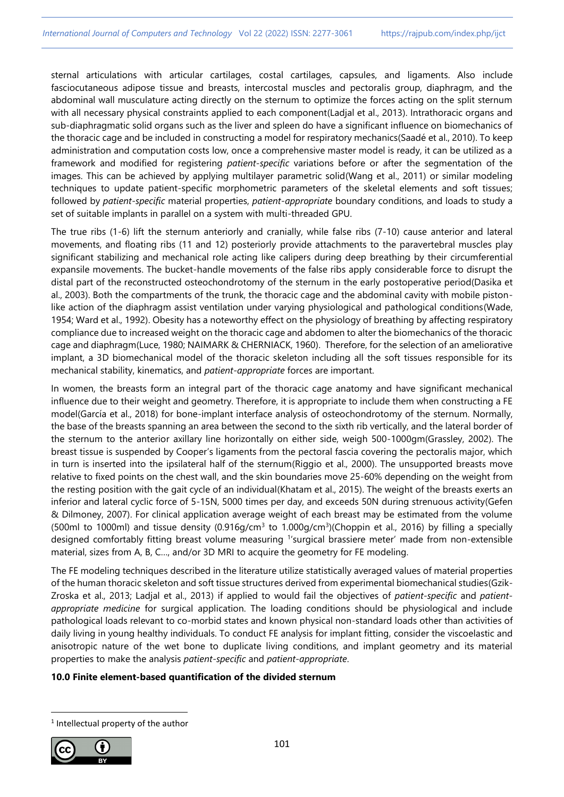sternal articulations with articular cartilages, costal cartilages, capsules, and ligaments. Also include fasciocutaneous adipose tissue and breasts, intercostal muscles and pectoralis group, diaphragm, and the abdominal wall musculature acting directly on the sternum to optimize the forces acting on the split sternum with all necessary physical constraints applied to each component(Ladjal et al., 2013). Intrathoracic organs and sub-diaphragmatic solid organs such as the liver and spleen do have a significant influence on biomechanics of the thoracic cage and be included in constructing a model for respiratory mechanics(Saadé et al., 2010). To keep administration and computation costs low, once a comprehensive master model is ready, it can be utilized as a framework and modified for registering *patient-specific* variations before or after the segmentation of the images. This can be achieved by applying multilayer parametric solid(Wang et al., 2011) or similar modeling techniques to update patient-specific morphometric parameters of the skeletal elements and soft tissues; followed by *patient-specific* material properties, *patient-appropriate* boundary conditions, and loads to study a set of suitable implants in parallel on a system with multi-threaded GPU.

The true ribs (1-6) lift the sternum anteriorly and cranially, while false ribs (7-10) cause anterior and lateral movements, and floating ribs (11 and 12) posteriorly provide attachments to the paravertebral muscles play significant stabilizing and mechanical role acting like calipers during deep breathing by their circumferential expansile movements. The bucket-handle movements of the false ribs apply considerable force to disrupt the distal part of the reconstructed osteochondrotomy of the sternum in the early postoperative period(Dasika et al., 2003). Both the compartments of the trunk, the thoracic cage and the abdominal cavity with mobile pistonlike action of the diaphragm assist ventilation under varying physiological and pathological conditions(Wade, 1954; Ward et al., 1992). Obesity has a noteworthy effect on the physiology of breathing by affecting respiratory compliance due to increased weight on the thoracic cage and abdomen to alter the biomechanics of the thoracic cage and diaphragm(Luce, 1980; NAIMARK & CHERNIACK, 1960). Therefore, for the selection of an ameliorative implant, a 3D biomechanical model of the thoracic skeleton including all the soft tissues responsible for its mechanical stability, kinematics, and *patient-appropriate* forces are important.

In women, the breasts form an integral part of the thoracic cage anatomy and have significant mechanical influence due to their weight and geometry. Therefore, it is appropriate to include them when constructing a FE model(García et al., 2018) for bone-implant interface analysis of osteochondrotomy of the sternum. Normally, the base of the breasts spanning an area between the second to the sixth rib vertically, and the lateral border of the sternum to the anterior axillary line horizontally on either side, weigh 500-1000gm(Grassley, 2002). The breast tissue is suspended by Cooper's ligaments from the pectoral fascia covering the pectoralis major, which in turn is inserted into the ipsilateral half of the sternum(Riggio et al., 2000). The unsupported breasts move relative to fixed points on the chest wall, and the skin boundaries move 25-60% depending on the weight from the resting position with the gait cycle of an individual(Khatam et al., 2015). The weight of the breasts exerts an inferior and lateral cyclic force of 5-15N, 5000 times per day, and exceeds 50N during strenuous activity(Gefen & Dilmoney, 2007). For clinical application average weight of each breast may be estimated from the volume (500ml to 1000ml) and tissue density (0.916 $q/cm<sup>3</sup>$  to 1.000 $q/cm<sup>3</sup>$ )(Choppin et al., 2016) by filling a specially designed comfortably fitting breast volume measuring <sup>1</sup> 'surgical brassiere meter' made from non-extensible material, sizes from A, B, C…, and/or 3D MRI to acquire the geometry for FE modeling.

The FE modeling techniques described in the literature utilize statistically averaged values of material properties of the human thoracic skeleton and soft tissue structures derived from experimental biomechanical studies(Gzik-Zroska et al., 2013; Ladjal et al., 2013) if applied to would fail the objectives of *patient-specific* and *patientappropriate medicine* for surgical application. The loading conditions should be physiological and include pathological loads relevant to co-morbid states and known physical non-standard loads other than activities of daily living in young healthy individuals. To conduct FE analysis for implant fitting, consider the viscoelastic and anisotropic nature of the wet bone to duplicate living conditions, and implant geometry and its material properties to make the analysis *patient-specific* and *patient-appropriate*.

## **10.0 Finite element-based quantification of the divided sternum**

<sup>1</sup> Intellectual property of the author

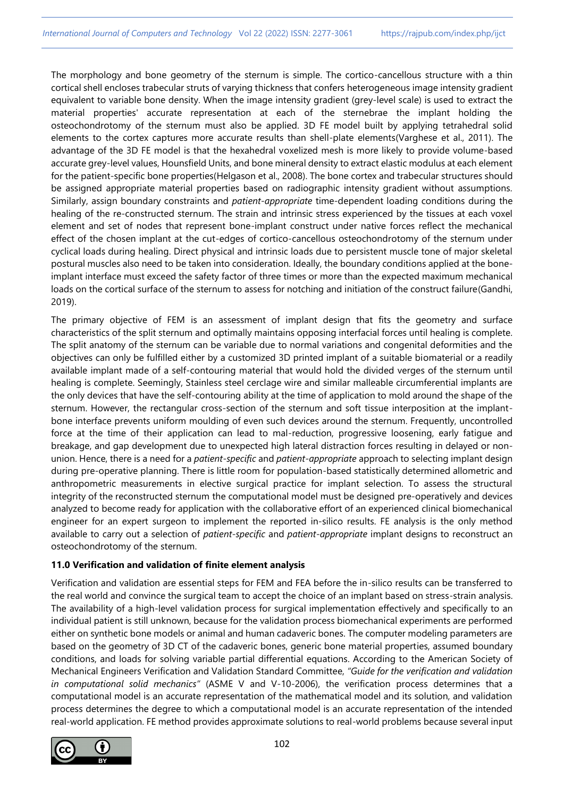The morphology and bone geometry of the sternum is simple. The cortico-cancellous structure with a thin cortical shell encloses trabecular struts of varying thickness that confers heterogeneous image intensity gradient equivalent to variable bone density. When the image intensity gradient (grey-level scale) is used to extract the material properties' accurate representation at each of the sternebrae the implant holding the osteochondrotomy of the sternum must also be applied. 3D FE model built by applying tetrahedral solid elements to the cortex captures more accurate results than shell-plate elements(Varghese et al., 2011). The advantage of the 3D FE model is that the hexahedral voxelized mesh is more likely to provide volume-based accurate grey-level values, Hounsfield Units, and bone mineral density to extract elastic modulus at each element for the patient-specific bone properties(Helgason et al., 2008). The bone cortex and trabecular structures should be assigned appropriate material properties based on radiographic intensity gradient without assumptions. Similarly, assign boundary constraints and *patient-appropriate* time-dependent loading conditions during the healing of the re-constructed sternum. The strain and intrinsic stress experienced by the tissues at each voxel element and set of nodes that represent bone-implant construct under native forces reflect the mechanical effect of the chosen implant at the cut-edges of cortico-cancellous osteochondrotomy of the sternum under cyclical loads during healing. Direct physical and intrinsic loads due to persistent muscle tone of major skeletal postural muscles also need to be taken into consideration. Ideally, the boundary conditions applied at the boneimplant interface must exceed the safety factor of three times or more than the expected maximum mechanical loads on the cortical surface of the sternum to assess for notching and initiation of the construct failure(Gandhi, 2019).

The primary objective of FEM is an assessment of implant design that fits the geometry and surface characteristics of the split sternum and optimally maintains opposing interfacial forces until healing is complete. The split anatomy of the sternum can be variable due to normal variations and congenital deformities and the objectives can only be fulfilled either by a customized 3D printed implant of a suitable biomaterial or a readily available implant made of a self-contouring material that would hold the divided verges of the sternum until healing is complete. Seemingly, Stainless steel cerclage wire and similar malleable circumferential implants are the only devices that have the self-contouring ability at the time of application to mold around the shape of the sternum. However, the rectangular cross-section of the sternum and soft tissue interposition at the implantbone interface prevents uniform moulding of even such devices around the sternum. Frequently, uncontrolled force at the time of their application can lead to mal-reduction, progressive loosening, early fatigue and breakage, and gap development due to unexpected high lateral distraction forces resulting in delayed or nonunion. Hence, there is a need for a *patient-specific* and *patient-appropriate* approach to selecting implant design during pre-operative planning. There is little room for population-based statistically determined allometric and anthropometric measurements in elective surgical practice for implant selection. To assess the structural integrity of the reconstructed sternum the computational model must be designed pre-operatively and devices analyzed to become ready for application with the collaborative effort of an experienced clinical biomechanical engineer for an expert surgeon to implement the reported in-silico results. FE analysis is the only method available to carry out a selection of *patient-specific* and *patient-appropriate* implant designs to reconstruct an osteochondrotomy of the sternum.

# **11.0 Verification and validation of finite element analysis**

Verification and validation are essential steps for FEM and FEA before the in-silico results can be transferred to the real world and convince the surgical team to accept the choice of an implant based on stress-strain analysis. The availability of a high-level validation process for surgical implementation effectively and specifically to an individual patient is still unknown, because for the validation process biomechanical experiments are performed either on synthetic bone models or animal and human cadaveric bones. The computer modeling parameters are based on the geometry of 3D CT of the cadaveric bones, generic bone material properties, assumed boundary conditions, and loads for solving variable partial differential equations. According to the American Society of Mechanical Engineers Verification and Validation Standard Committee, *"Guide for the verification and validation in computational solid mechanics"* (ASME V and V-10-2006), the verification process determines that a computational model is an accurate representation of the mathematical model and its solution, and validation process determines the degree to which a computational model is an accurate representation of the intended real-world application. FE method provides approximate solutions to real-world problems because several input

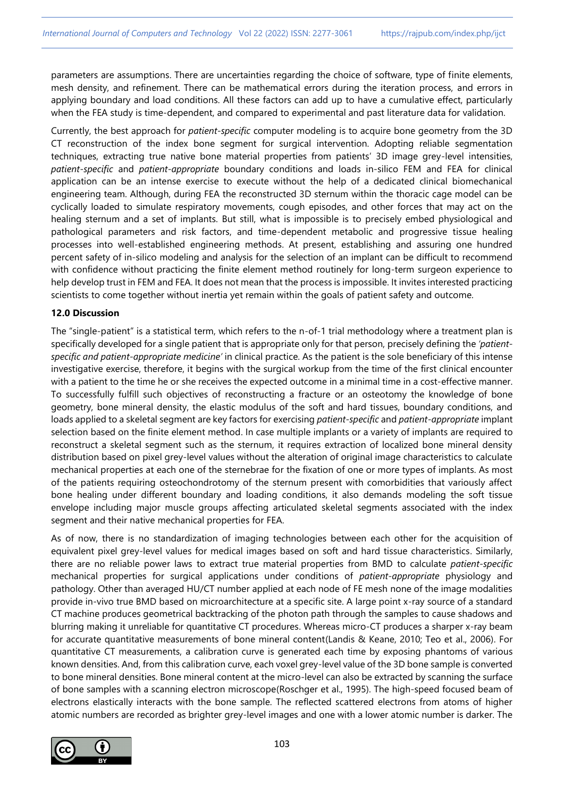parameters are assumptions. There are uncertainties regarding the choice of software, type of finite elements, mesh density, and refinement. There can be mathematical errors during the iteration process, and errors in applying boundary and load conditions. All these factors can add up to have a cumulative effect, particularly when the FEA study is time-dependent, and compared to experimental and past literature data for validation.

Currently, the best approach for *patient-specific* computer modeling is to acquire bone geometry from the 3D CT reconstruction of the index bone segment for surgical intervention. Adopting reliable segmentation techniques, extracting true native bone material properties from patients' 3D image grey-level intensities, *patient-specific* and *patient-appropriate* boundary conditions and loads in-silico FEM and FEA for clinical application can be an intense exercise to execute without the help of a dedicated clinical biomechanical engineering team. Although, during FEA the reconstructed 3D sternum within the thoracic cage model can be cyclically loaded to simulate respiratory movements, cough episodes, and other forces that may act on the healing sternum and a set of implants. But still, what is impossible is to precisely embed physiological and pathological parameters and risk factors, and time-dependent metabolic and progressive tissue healing processes into well-established engineering methods. At present, establishing and assuring one hundred percent safety of in-silico modeling and analysis for the selection of an implant can be difficult to recommend with confidence without practicing the finite element method routinely for long-term surgeon experience to help develop trust in FEM and FEA. It does not mean that the process is impossible. It invites interested practicing scientists to come together without inertia yet remain within the goals of patient safety and outcome.

## **12.0 Discussion**

The "single-patient" is a statistical term, which refers to the n-of-1 trial methodology where a treatment plan is specifically developed for a single patient that is appropriate only for that person, precisely defining the *'patientspecific and patient-appropriate medicine'* in clinical practice. As the patient is the sole beneficiary of this intense investigative exercise, therefore, it begins with the surgical workup from the time of the first clinical encounter with a patient to the time he or she receives the expected outcome in a minimal time in a cost-effective manner. To successfully fulfill such objectives of reconstructing a fracture or an osteotomy the knowledge of bone geometry, bone mineral density, the elastic modulus of the soft and hard tissues, boundary conditions, and loads applied to a skeletal segment are key factors for exercising *patient-specific* and *patient-appropriate* implant selection based on the finite element method. In case multiple implants or a variety of implants are required to reconstruct a skeletal segment such as the sternum, it requires extraction of localized bone mineral density distribution based on pixel grey-level values without the alteration of original image characteristics to calculate mechanical properties at each one of the sternebrae for the fixation of one or more types of implants. As most of the patients requiring osteochondrotomy of the sternum present with comorbidities that variously affect bone healing under different boundary and loading conditions, it also demands modeling the soft tissue envelope including major muscle groups affecting articulated skeletal segments associated with the index segment and their native mechanical properties for FEA.

As of now, there is no standardization of imaging technologies between each other for the acquisition of equivalent pixel grey-level values for medical images based on soft and hard tissue characteristics. Similarly, there are no reliable power laws to extract true material properties from BMD to calculate *patient-specific* mechanical properties for surgical applications under conditions of *patient-appropriate* physiology and pathology. Other than averaged HU/CT number applied at each node of FE mesh none of the image modalities provide in-vivo true BMD based on microarchitecture at a specific site. A large point x-ray source of a standard CT machine produces geometrical backtracking of the photon path through the samples to cause shadows and blurring making it unreliable for quantitative CT procedures. Whereas micro-CT produces a sharper x-ray beam for accurate quantitative measurements of bone mineral content(Landis & Keane, 2010; Teo et al., 2006). For quantitative CT measurements, a calibration curve is generated each time by exposing phantoms of various known densities. And, from this calibration curve, each voxel grey-level value of the 3D bone sample is converted to bone mineral densities. Bone mineral content at the micro-level can also be extracted by scanning the surface of bone samples with a scanning electron microscope(Roschger et al., 1995). The high-speed focused beam of electrons elastically interacts with the bone sample. The reflected scattered electrons from atoms of higher atomic numbers are recorded as brighter grey-level images and one with a lower atomic number is darker. The

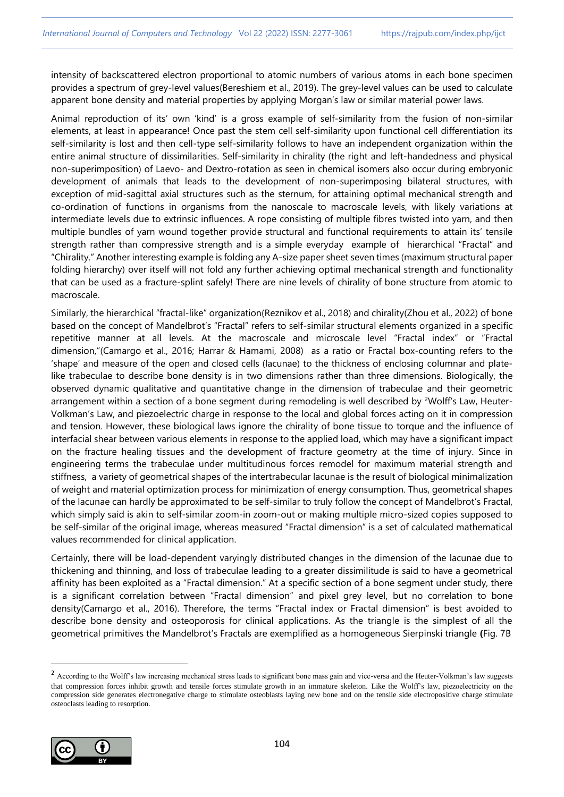intensity of backscattered electron proportional to atomic numbers of various atoms in each bone specimen provides a spectrum of grey-level values(Bereshiem et al., 2019). The grey-level values can be used to calculate apparent bone density and material properties by applying Morgan's law or similar material power laws.

Animal reproduction of its' own 'kind' is a gross example of self-similarity from the fusion of non-similar elements, at least in appearance! Once past the stem cell self-similarity upon functional cell differentiation its self-similarity is lost and then cell-type self-similarity follows to have an independent organization within the entire animal structure of dissimilarities. Self-similarity in chirality (the right and left-handedness and physical non-superimposition) of Laevo- and Dextro-rotation as seen in chemical isomers also occur during embryonic development of animals that leads to the development of non-superimposing bilateral structures, with exception of mid-sagittal axial structures such as the sternum, for attaining optimal mechanical strength and co-ordination of functions in organisms from the nanoscale to macroscale levels, with likely variations at intermediate levels due to extrinsic influences. A rope consisting of multiple fibres twisted into yarn, and then multiple bundles of yarn wound together provide structural and functional requirements to attain its' tensile strength rather than compressive strength and is a simple everyday example of hierarchical "Fractal" and "Chirality." Another interesting example is folding any A-size paper sheet seven times (maximum structural paper folding hierarchy) over itself will not fold any further achieving optimal mechanical strength and functionality that can be used as a fracture-splint safely! There are nine levels of chirality of bone structure from atomic to macroscale.

Similarly, the hierarchical "fractal-like" organization(Reznikov et al., 2018) and chirality(Zhou et al., 2022) of bone based on the concept of Mandelbrot's "Fractal" refers to self-similar structural elements organized in a specific repetitive manner at all levels. At the macroscale and microscale level "Fractal index" or "Fractal dimension,"(Camargo et al., 2016; Harrar & Hamami, 2008) as a ratio or Fractal box-counting refers to the 'shape' and measure of the open and closed cells (lacunae) to the thickness of enclosing columnar and platelike trabeculae to describe bone density is in two dimensions rather than three dimensions. Biologically, the observed dynamic qualitative and quantitative change in the dimension of trabeculae and their geometric arrangement within a section of a bone segment during remodeling is well described by <sup>2</sup>Wolff's Law, Heuter-Volkman's Law, and piezoelectric charge in response to the local and global forces acting on it in compression and tension. However, these biological laws ignore the chirality of bone tissue to torque and the influence of interfacial shear between various elements in response to the applied load, which may have a significant impact on the fracture healing tissues and the development of fracture geometry at the time of injury. Since in engineering terms the trabeculae under multitudinous forces remodel for maximum material strength and stiffness, a variety of geometrical shapes of the intertrabecular lacunae is the result of biological minimalization of weight and material optimization process for minimization of energy consumption. Thus, geometrical shapes of the lacunae can hardly be approximated to be self-similar to truly follow the concept of Mandelbrot's Fractal, which simply said is akin to self-similar zoom-in zoom-out or making multiple micro-sized copies supposed to be self-similar of the original image, whereas measured "Fractal dimension" is a set of calculated mathematical values recommended for clinical application.

Certainly, there will be load-dependent varyingly distributed changes in the dimension of the lacunae due to thickening and thinning, and loss of trabeculae leading to a greater dissimilitude is said to have a geometrical affinity has been exploited as a "Fractal dimension." At a specific section of a bone segment under study, there is a significant correlation between "Fractal dimension" and pixel grey level, but no correlation to bone density(Camargo et al., 2016). Therefore, the terms "Fractal index or Fractal dimension" is best avoided to describe bone density and osteoporosis for clinical applications. As the triangle is the simplest of all the geometrical primitives the Mandelbrot's Fractals are exemplified as a homogeneous Sierpinski triangle **(**Fig. 7B

<sup>&</sup>lt;sup>2</sup> According to the Wolff's law increasing mechanical stress leads to significant bone mass gain and vice-versa and the Heuter-Volkman's law suggests that compression forces inhibit growth and tensile forces stimulate growth in an immature skeleton. Like the Wolff's law, piezoelectricity on the compression side generates electronegative charge to stimulate osteoblasts laying new bone and on the tensile side electropositive charge stimulate osteoclasts leading to resorption.

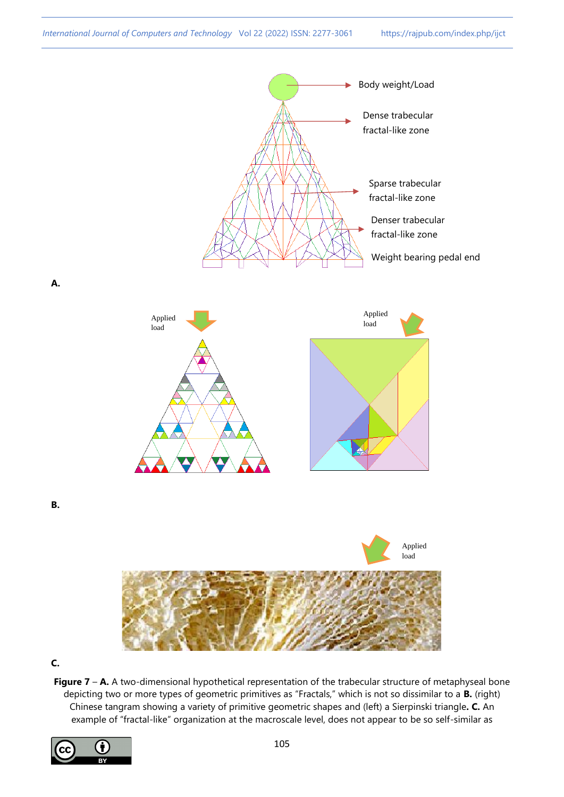

**C.**

**Figure 7 – A.** A two-dimensional hypothetical representation of the trabecular structure of metaphyseal bone depicting two or more types of geometric primitives as "Fractals," which is not so dissimilar to a **B.** (right) Chinese tangram showing a variety of primitive geometric shapes and (left) a Sierpinski triangle**. C.** An example of "fractal-like" organization at the macroscale level, does not appear to be so self-similar as

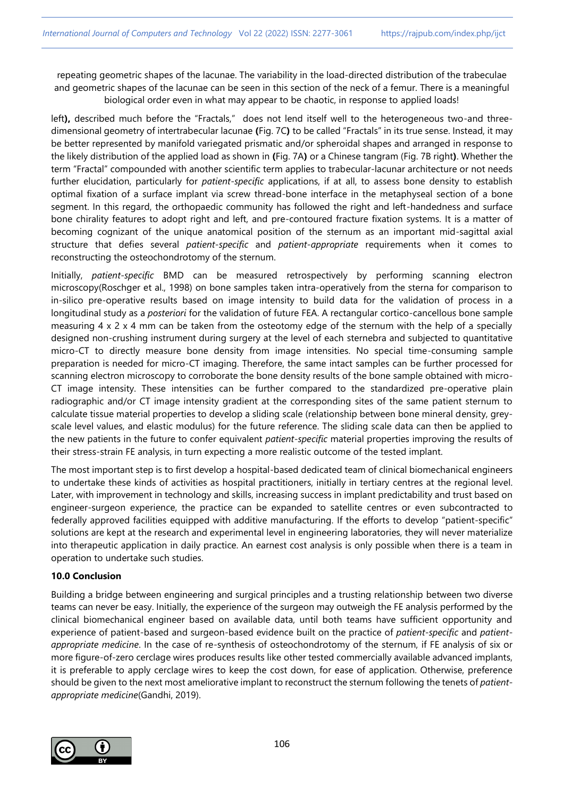repeating geometric shapes of the lacunae. The variability in the load-directed distribution of the trabeculae and geometric shapes of the lacunae can be seen in this section of the neck of a femur. There is a meaningful biological order even in what may appear to be chaotic, in response to applied loads!

left**),** described much before the "Fractals," does not lend itself well to the heterogeneous two-and threedimensional geometry of intertrabecular lacunae **(**Fig. 7C**)** to be called "Fractals" in its true sense. Instead, it may be better represented by manifold variegated prismatic and/or spheroidal shapes and arranged in response to the likely distribution of the applied load as shown in **(**Fig. 7A**)** or a Chinese tangram (Fig. 7B right**)**. Whether the term "Fractal" compounded with another scientific term applies to trabecular-lacunar architecture or not needs further elucidation, particularly for *patient-specific* applications, if at all, to assess bone density to establish optimal fixation of a surface implant via screw thread-bone interface in the metaphyseal section of a bone segment. In this regard, the orthopaedic community has followed the right and left-handedness and surface bone chirality features to adopt right and left, and pre-contoured fracture fixation systems. It is a matter of becoming cognizant of the unique anatomical position of the sternum as an important mid-sagittal axial structure that defies several *patient-specific* and *patient-appropriate* requirements when it comes to reconstructing the osteochondrotomy of the sternum.

Initially, *patient-specific* BMD can be measured retrospectively by performing scanning electron microscopy(Roschger et al., 1998) on bone samples taken intra-operatively from the sterna for comparison to in-silico pre-operative results based on image intensity to build data for the validation of process in a longitudinal study as a *posteriori* for the validation of future FEA. A rectangular cortico-cancellous bone sample measuring 4 x 2 x 4 mm can be taken from the osteotomy edge of the sternum with the help of a specially designed non-crushing instrument during surgery at the level of each sternebra and subjected to quantitative micro-CT to directly measure bone density from image intensities. No special time-consuming sample preparation is needed for micro-CT imaging. Therefore, the same intact samples can be further processed for scanning electron microscopy to corroborate the bone density results of the bone sample obtained with micro-CT image intensity. These intensities can be further compared to the standardized pre-operative plain radiographic and/or CT image intensity gradient at the corresponding sites of the same patient sternum to calculate tissue material properties to develop a sliding scale (relationship between bone mineral density, greyscale level values, and elastic modulus) for the future reference. The sliding scale data can then be applied to the new patients in the future to confer equivalent *patient-specific* material properties improving the results of their stress-strain FE analysis, in turn expecting a more realistic outcome of the tested implant.

The most important step is to first develop a hospital-based dedicated team of clinical biomechanical engineers to undertake these kinds of activities as hospital practitioners, initially in tertiary centres at the regional level. Later, with improvement in technology and skills, increasing success in implant predictability and trust based on engineer-surgeon experience, the practice can be expanded to satellite centres or even subcontracted to federally approved facilities equipped with additive manufacturing. If the efforts to develop "patient-specific" solutions are kept at the research and experimental level in engineering laboratories, they will never materialize into therapeutic application in daily practice. An earnest cost analysis is only possible when there is a team in operation to undertake such studies.

## **10.0 Conclusion**

Building a bridge between engineering and surgical principles and a trusting relationship between two diverse teams can never be easy. Initially, the experience of the surgeon may outweigh the FE analysis performed by the clinical biomechanical engineer based on available data, until both teams have sufficient opportunity and experience of patient-based and surgeon-based evidence built on the practice of *patient-specific* and *patientappropriate medicine*. In the case of re-synthesis of osteochondrotomy of the sternum, if FE analysis of six or more figure-of-zero cerclage wires produces results like other tested commercially available advanced implants, it is preferable to apply cerclage wires to keep the cost down, for ease of application. Otherwise, preference should be given to the next most ameliorative implant to reconstruct the sternum following the tenets of *patientappropriate medicine*(Gandhi, 2019).

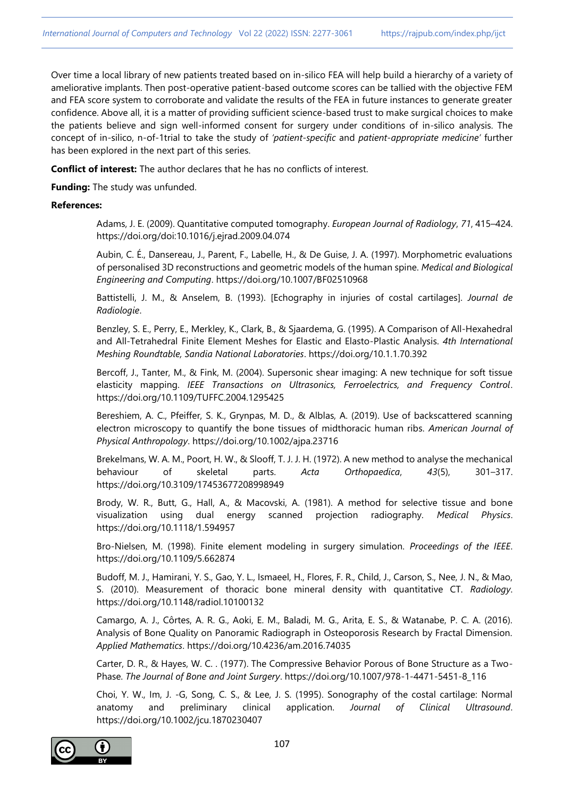Over time a local library of new patients treated based on in-silico FEA will help build a hierarchy of a variety of ameliorative implants. Then post-operative patient-based outcome scores can be tallied with the objective FEM and FEA score system to corroborate and validate the results of the FEA in future instances to generate greater confidence. Above all, it is a matter of providing sufficient science-based trust to make surgical choices to make the patients believe and sign well-informed consent for surgery under conditions of in-silico analysis. The concept of in-silico, n-of-1trial to take the study of *'patient-specific* and *patient-appropriate medicine'* further has been explored in the next part of this series.

**Conflict of interest:** The author declares that he has no conflicts of interest.

**Funding:** The study was unfunded.

## **References:**

Adams, J. E. (2009). Quantitative computed tomography. *European Journal of Radiology*, *71*, 415–424. https://doi.org/doi:10.1016/j.ejrad.2009.04.074

Aubin, C. É., Dansereau, J., Parent, F., Labelle, H., & De Guise, J. A. (1997). Morphometric evaluations of personalised 3D reconstructions and geometric models of the human spine. *Medical and Biological Engineering and Computing*. https://doi.org/10.1007/BF02510968

Battistelli, J. M., & Anselem, B. (1993). [Echography in injuries of costal cartilages]. *Journal de Radiologie*.

Benzley, S. E., Perry, E., Merkley, K., Clark, B., & Sjaardema, G. (1995). A Comparison of All-Hexahedral and All-Tetrahedral Finite Element Meshes for Elastic and Elasto-Plastic Analysis. *4th International Meshing Roundtable, Sandia National Laboratories*. https://doi.org/10.1.1.70.392

Bercoff, J., Tanter, M., & Fink, M. (2004). Supersonic shear imaging: A new technique for soft tissue elasticity mapping. *IEEE Transactions on Ultrasonics, Ferroelectrics, and Frequency Control*. https://doi.org/10.1109/TUFFC.2004.1295425

Bereshiem, A. C., Pfeiffer, S. K., Grynpas, M. D., & Alblas, A. (2019). Use of backscattered scanning electron microscopy to quantify the bone tissues of midthoracic human ribs. *American Journal of Physical Anthropology*. https://doi.org/10.1002/ajpa.23716

Brekelmans, W. A. M., Poort, H. W., & Slooff, T. J. J. H. (1972). A new method to analyse the mechanical behaviour of skeletal parts. *Acta Orthopaedica*, *43*(5), 301–317. https://doi.org/10.3109/17453677208998949

Brody, W. R., Butt, G., Hall, A., & Macovski, A. (1981). A method for selective tissue and bone visualization using dual energy scanned projection radiography. *Medical Physics*. https://doi.org/10.1118/1.594957

Bro-Nielsen, M. (1998). Finite element modeling in surgery simulation. *Proceedings of the IEEE*. https://doi.org/10.1109/5.662874

Budoff, M. J., Hamirani, Y. S., Gao, Y. L., Ismaeel, H., Flores, F. R., Child, J., Carson, S., Nee, J. N., & Mao, S. (2010). Measurement of thoracic bone mineral density with quantitative CT. *Radiology*. https://doi.org/10.1148/radiol.10100132

Camargo, A. J., Côrtes, A. R. G., Aoki, E. M., Baladi, M. G., Arita, E. S., & Watanabe, P. C. A. (2016). Analysis of Bone Quality on Panoramic Radiograph in Osteoporosis Research by Fractal Dimension. *Applied Mathematics*. https://doi.org/10.4236/am.2016.74035

Carter, D. R., & Hayes, W. C. . (1977). The Compressive Behavior Porous of Bone Structure as a Two-Phase. *The Journal of Bone and Joint Surgery*. https://doi.org/10.1007/978-1-4471-5451-8\_116

Choi, Y. W., Im, J. ‐G, Song, C. S., & Lee, J. S. (1995). Sonography of the costal cartilage: Normal anatomy and preliminary clinical application. *Journal of Clinical Ultrasound*. https://doi.org/10.1002/jcu.1870230407

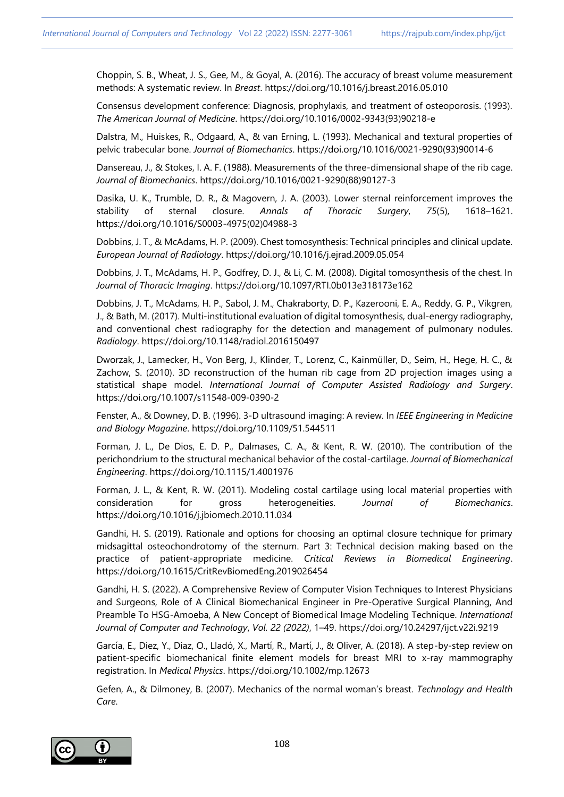Choppin, S. B., Wheat, J. S., Gee, M., & Goyal, A. (2016). The accuracy of breast volume measurement methods: A systematic review. In *Breast*. https://doi.org/10.1016/j.breast.2016.05.010

Consensus development conference: Diagnosis, prophylaxis, and treatment of osteoporosis. (1993). *The American Journal of Medicine*. https://doi.org/10.1016/0002-9343(93)90218-e

Dalstra, M., Huiskes, R., Odgaard, A., & van Erning, L. (1993). Mechanical and textural properties of pelvic trabecular bone. *Journal of Biomechanics*. https://doi.org/10.1016/0021-9290(93)90014-6

Dansereau, J., & Stokes, I. A. F. (1988). Measurements of the three-dimensional shape of the rib cage. *Journal of Biomechanics*. https://doi.org/10.1016/0021-9290(88)90127-3

Dasika, U. K., Trumble, D. R., & Magovern, J. A. (2003). Lower sternal reinforcement improves the stability of sternal closure. *Annals of Thoracic Surgery*, *75*(5), 1618–1621. https://doi.org/10.1016/S0003-4975(02)04988-3

Dobbins, J. T., & McAdams, H. P. (2009). Chest tomosynthesis: Technical principles and clinical update. *European Journal of Radiology*. https://doi.org/10.1016/j.ejrad.2009.05.054

Dobbins, J. T., McAdams, H. P., Godfrey, D. J., & Li, C. M. (2008). Digital tomosynthesis of the chest. In *Journal of Thoracic Imaging*. https://doi.org/10.1097/RTI.0b013e318173e162

Dobbins, J. T., McAdams, H. P., Sabol, J. M., Chakraborty, D. P., Kazerooni, E. A., Reddy, G. P., Vikgren, J., & Bath, M. (2017). Multi-institutional evaluation of digital tomosynthesis, dual-energy radiography, and conventional chest radiography for the detection and management of pulmonary nodules. *Radiology*. https://doi.org/10.1148/radiol.2016150497

Dworzak, J., Lamecker, H., Von Berg, J., Klinder, T., Lorenz, C., Kainmüller, D., Seim, H., Hege, H. C., & Zachow, S. (2010). 3D reconstruction of the human rib cage from 2D projection images using a statistical shape model. *International Journal of Computer Assisted Radiology and Surgery*. https://doi.org/10.1007/s11548-009-0390-2

Fenster, A., & Downey, D. B. (1996). 3-D ultrasound imaging: A review. In *IEEE Engineering in Medicine and Biology Magazine*. https://doi.org/10.1109/51.544511

Forman, J. L., De Dios, E. D. P., Dalmases, C. A., & Kent, R. W. (2010). The contribution of the perichondrium to the structural mechanical behavior of the costal-cartilage. *Journal of Biomechanical Engineering*. https://doi.org/10.1115/1.4001976

Forman, J. L., & Kent, R. W. (2011). Modeling costal cartilage using local material properties with consideration for gross heterogeneities. *Journal of Biomechanics*. https://doi.org/10.1016/j.jbiomech.2010.11.034

Gandhi, H. S. (2019). Rationale and options for choosing an optimal closure technique for primary midsagittal osteochondrotomy of the sternum. Part 3: Technical decision making based on the practice of patient-appropriate medicine. *Critical Reviews in Biomedical Engineering*. https://doi.org/10.1615/CritRevBiomedEng.2019026454

Gandhi, H. S. (2022). A Comprehensive Review of Computer Vision Techniques to Interest Physicians and Surgeons, Role of A Clinical Biomechanical Engineer in Pre-Operative Surgical Planning, And Preamble To HSG-Amoeba, A New Concept of Biomedical Image Modeling Technique. *International Journal of Computer and Technology*, *Vol. 22 (2022)*, 1–49. <https://doi.org/10.24297/ijct.v22i.9219>

García, E., Diez, Y., Diaz, O., Lladó, X., Martí, R., Martí, J., & Oliver, A. (2018). A step-by-step review on patient-specific biomechanical finite element models for breast MRI to x-ray mammography registration. In *Medical Physics*. https://doi.org/10.1002/mp.12673

Gefen, A., & Dilmoney, B. (2007). Mechanics of the normal woman's breast. *Technology and Health Care*.

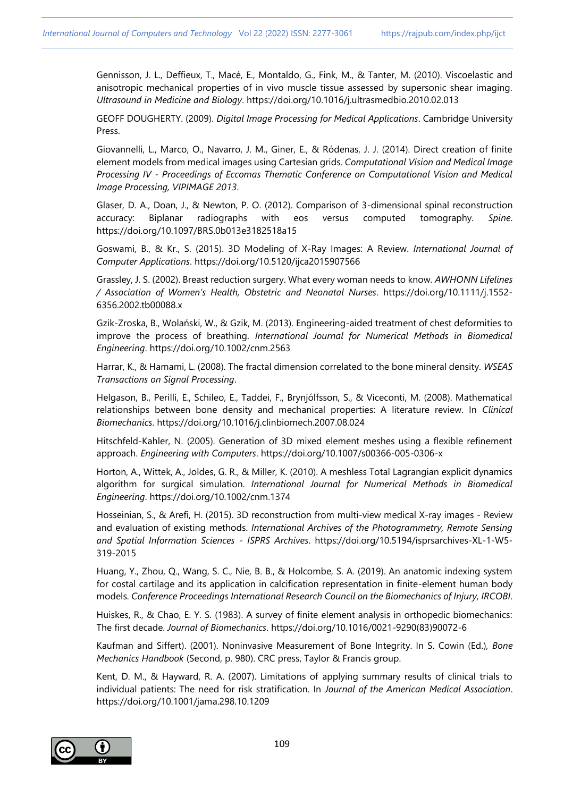Gennisson, J. L., Deffieux, T., Macé, E., Montaldo, G., Fink, M., & Tanter, M. (2010). Viscoelastic and anisotropic mechanical properties of in vivo muscle tissue assessed by supersonic shear imaging. *Ultrasound in Medicine and Biology*. https://doi.org/10.1016/j.ultrasmedbio.2010.02.013

GEOFF DOUGHERTY. (2009). *Digital Image Processing for Medical Applications*. Cambridge University Press.

Giovannelli, L., Marco, O., Navarro, J. M., Giner, E., & Ródenas, J. J. (2014). Direct creation of finite element models from medical images using Cartesian grids. *Computational Vision and Medical Image Processing IV - Proceedings of Eccomas Thematic Conference on Computational Vision and Medical Image Processing, VIPIMAGE 2013*.

Glaser, D. A., Doan, J., & Newton, P. O. (2012). Comparison of 3-dimensional spinal reconstruction accuracy: Biplanar radiographs with eos versus computed tomography. *Spine*. https://doi.org/10.1097/BRS.0b013e3182518a15

Goswami, B., & Kr., S. (2015). 3D Modeling of X-Ray Images: A Review. *International Journal of Computer Applications*. https://doi.org/10.5120/ijca2015907566

Grassley, J. S. (2002). Breast reduction surgery. What every woman needs to know. *AWHONN Lifelines / Association of Women's Health, Obstetric and Neonatal Nurses*. https://doi.org/10.1111/j.1552- 6356.2002.tb00088.x

Gzik-Zroska, B., Wolański, W., & Gzik, M. (2013). Engineering-aided treatment of chest deformities to improve the process of breathing. *International Journal for Numerical Methods in Biomedical Engineering*. https://doi.org/10.1002/cnm.2563

Harrar, K., & Hamami, L. (2008). The fractal dimension correlated to the bone mineral density. *WSEAS Transactions on Signal Processing*.

Helgason, B., Perilli, E., Schileo, E., Taddei, F., Brynjólfsson, S., & Viceconti, M. (2008). Mathematical relationships between bone density and mechanical properties: A literature review. In *Clinical Biomechanics*. https://doi.org/10.1016/j.clinbiomech.2007.08.024

Hitschfeld-Kahler, N. (2005). Generation of 3D mixed element meshes using a flexible refinement approach. *Engineering with Computers*. https://doi.org/10.1007/s00366-005-0306-x

Horton, A., Wittek, A., Joldes, G. R., & Miller, K. (2010). A meshless Total Lagrangian explicit dynamics algorithm for surgical simulation. *International Journal for Numerical Methods in Biomedical Engineering*. https://doi.org/10.1002/cnm.1374

Hosseinian, S., & Arefi, H. (2015). 3D reconstruction from multi-view medical X-ray images - Review and evaluation of existing methods. *International Archives of the Photogrammetry, Remote Sensing and Spatial Information Sciences - ISPRS Archives*. https://doi.org/10.5194/isprsarchives-XL-1-W5- 319-2015

Huang, Y., Zhou, Q., Wang, S. C., Nie, B. B., & Holcombe, S. A. (2019). An anatomic indexing system for costal cartilage and its application in calcification representation in finite-element human body models. *Conference Proceedings International Research Council on the Biomechanics of Injury, IRCOBI*.

Huiskes, R., & Chao, E. Y. S. (1983). A survey of finite element analysis in orthopedic biomechanics: The first decade. *Journal of Biomechanics*. https://doi.org/10.1016/0021-9290(83)90072-6

Kaufman and Siffert). (2001). Noninvasive Measurement of Bone Integrity. In S. Cowin (Ed.), *Bone Mechanics Handbook* (Second, p. 980). CRC press, Taylor & Francis group.

Kent, D. M., & Hayward, R. A. (2007). Limitations of applying summary results of clinical trials to individual patients: The need for risk stratification. In *Journal of the American Medical Association*. https://doi.org/10.1001/jama.298.10.1209

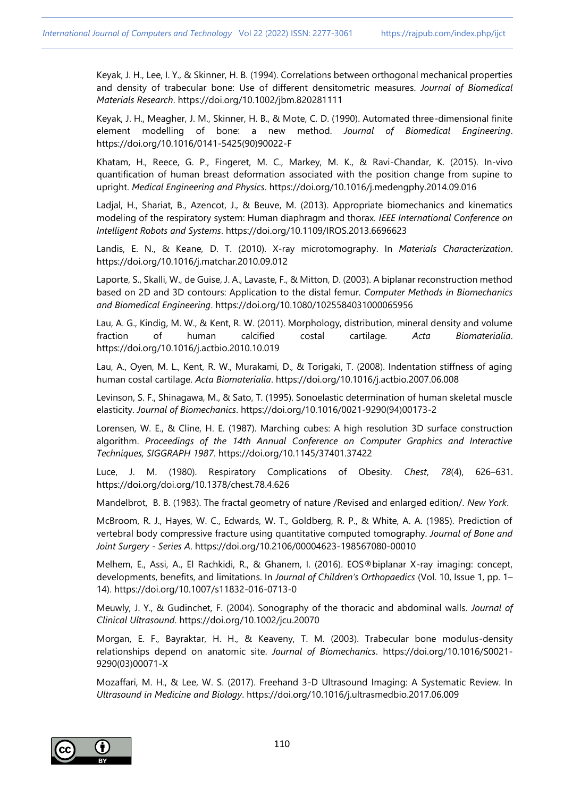Keyak, J. H., Lee, I. Y., & Skinner, H. B. (1994). Correlations between orthogonal mechanical properties and density of trabecular bone: Use of different densitometric measures. *Journal of Biomedical Materials Research*. https://doi.org/10.1002/jbm.820281111

Keyak, J. H., Meagher, J. M., Skinner, H. B., & Mote, C. D. (1990). Automated three-dimensional finite element modelling of bone: a new method. *Journal of Biomedical Engineering*. https://doi.org/10.1016/0141-5425(90)90022-F

Khatam, H., Reece, G. P., Fingeret, M. C., Markey, M. K., & Ravi-Chandar, K. (2015). In-vivo quantification of human breast deformation associated with the position change from supine to upright. *Medical Engineering and Physics*. https://doi.org/10.1016/j.medengphy.2014.09.016

Ladjal, H., Shariat, B., Azencot, J., & Beuve, M. (2013). Appropriate biomechanics and kinematics modeling of the respiratory system: Human diaphragm and thorax. *IEEE International Conference on Intelligent Robots and Systems*. https://doi.org/10.1109/IROS.2013.6696623

Landis, E. N., & Keane, D. T. (2010). X-ray microtomography. In *Materials Characterization*. https://doi.org/10.1016/j.matchar.2010.09.012

Laporte, S., Skalli, W., de Guise, J. A., Lavaste, F., & Mitton, D. (2003). A biplanar reconstruction method based on 2D and 3D contours: Application to the distal femur. *Computer Methods in Biomechanics and Biomedical Engineering*. https://doi.org/10.1080/1025584031000065956

Lau, A. G., Kindig, M. W., & Kent, R. W. (2011). Morphology, distribution, mineral density and volume fraction of human calcified costal cartilage. *Acta Biomaterialia*. https://doi.org/10.1016/j.actbio.2010.10.019

Lau, A., Oyen, M. L., Kent, R. W., Murakami, D., & Torigaki, T. (2008). Indentation stiffness of aging human costal cartilage. *Acta Biomaterialia*. https://doi.org/10.1016/j.actbio.2007.06.008

Levinson, S. F., Shinagawa, M., & Sato, T. (1995). Sonoelastic determination of human skeletal muscle elasticity. *Journal of Biomechanics*. https://doi.org/10.1016/0021-9290(94)00173-2

Lorensen, W. E., & Cline, H. E. (1987). Marching cubes: A high resolution 3D surface construction algorithm. *Proceedings of the 14th Annual Conference on Computer Graphics and Interactive Techniques, SIGGRAPH 1987*. https://doi.org/10.1145/37401.37422

Luce, J. M. (1980). Respiratory Complications of Obesity. *Chest*, *78*(4), 626–631. https://doi.org/doi.org/10.1378/chest.78.4.626

Mandelbrot, B. B. (1983). The fractal geometry of nature /Revised and enlarged edition/. *New York*.

McBroom, R. J., Hayes, W. C., Edwards, W. T., Goldberg, R. P., & White, A. A. (1985). Prediction of vertebral body compressive fracture using quantitative computed tomography. *Journal of Bone and Joint Surgery - Series A*. https://doi.org/10.2106/00004623-198567080-00010

Melhem, E., Assi, A., El Rachkidi, R., & Ghanem, I. (2016). EOS®biplanar X-ray imaging: concept, developments, benefits, and limitations. In *Journal of Children's Orthopaedics* (Vol. 10, Issue 1, pp. 1– 14). https://doi.org/10.1007/s11832-016-0713-0

Meuwly, J. Y., & Gudinchet, F. (2004). Sonography of the thoracic and abdominal walls. *Journal of Clinical Ultrasound*. https://doi.org/10.1002/jcu.20070

Morgan, E. F., Bayraktar, H. H., & Keaveny, T. M. (2003). Trabecular bone modulus-density relationships depend on anatomic site. *Journal of Biomechanics*. https://doi.org/10.1016/S0021- 9290(03)00071-X

Mozaffari, M. H., & Lee, W. S. (2017). Freehand 3-D Ultrasound Imaging: A Systematic Review. In *Ultrasound in Medicine and Biology*. https://doi.org/10.1016/j.ultrasmedbio.2017.06.009

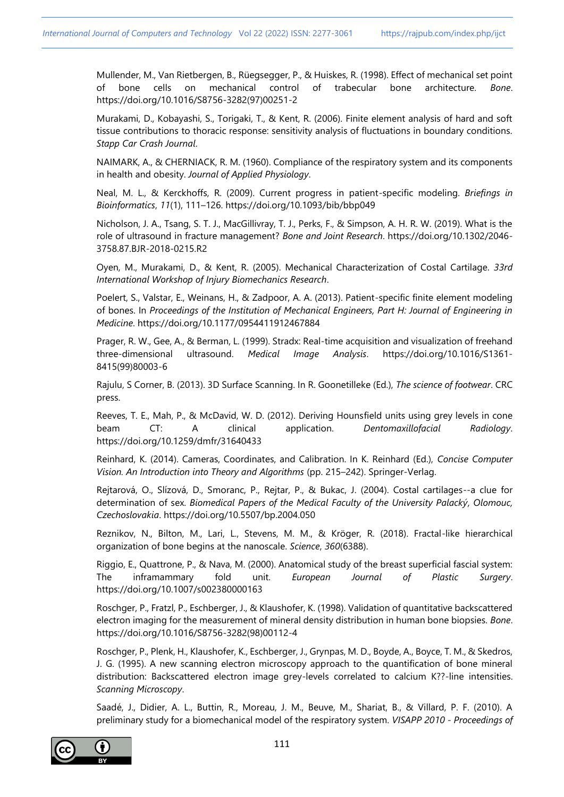Mullender, M., Van Rietbergen, B., Rüegsegger, P., & Huiskes, R. (1998). Effect of mechanical set point of bone cells on mechanical control of trabecular bone architecture. *Bone*. https://doi.org/10.1016/S8756-3282(97)00251-2

Murakami, D., Kobayashi, S., Torigaki, T., & Kent, R. (2006). Finite element analysis of hard and soft tissue contributions to thoracic response: sensitivity analysis of fluctuations in boundary conditions. *Stapp Car Crash Journal*.

NAIMARK, A., & CHERNIACK, R. M. (1960). Compliance of the respiratory system and its components in health and obesity. *Journal of Applied Physiology*.

Neal, M. L., & Kerckhoffs, R. (2009). Current progress in patient-specific modeling. *Briefings in Bioinformatics*, *11*(1), 111–126. https://doi.org/10.1093/bib/bbp049

Nicholson, J. A., Tsang, S. T. J., MacGillivray, T. J., Perks, F., & Simpson, A. H. R. W. (2019). What is the role of ultrasound in fracture management? *Bone and Joint Research*. https://doi.org/10.1302/2046- 3758.87.BJR-2018-0215.R2

Oyen, M., Murakami, D., & Kent, R. (2005). Mechanical Characterization of Costal Cartilage. *33rd International Workshop of Injury Biomechanics Research*.

Poelert, S., Valstar, E., Weinans, H., & Zadpoor, A. A. (2013). Patient-specific finite element modeling of bones. In *Proceedings of the Institution of Mechanical Engineers, Part H: Journal of Engineering in Medicine*. https://doi.org/10.1177/0954411912467884

Prager, R. W., Gee, A., & Berman, L. (1999). Stradx: Real-time acquisition and visualization of freehand three-dimensional ultrasound. *Medical Image Analysis*. https://doi.org/10.1016/S1361- 8415(99)80003-6

Rajulu, S Corner, B. (2013). 3D Surface Scanning. In R. Goonetilleke (Ed.), *The science of footwear*. CRC press.

Reeves, T. E., Mah, P., & McDavid, W. D. (2012). Deriving Hounsfield units using grey levels in cone beam CT: A clinical application. *Dentomaxillofacial Radiology*. https://doi.org/10.1259/dmfr/31640433

Reinhard, K. (2014). Cameras, Coordinates, and Calibration. In K. Reinhard (Ed.), *Concise Computer Vision. An Introduction into Theory and Algorithms* (pp. 215–242). Springer-Verlag.

Rejtarová, O., Slízová, D., Smoranc, P., Rejtar, P., & Bukac, J. (2004). Costal cartilages--a clue for determination of sex. *Biomedical Papers of the Medical Faculty of the University Palacký, Olomouc, Czechoslovakia*. https://doi.org/10.5507/bp.2004.050

Reznikov, N., Bilton, M., Lari, L., Stevens, M. M., & Kröger, R. (2018). Fractal-like hierarchical organization of bone begins at the nanoscale. *Science*, *360*(6388).

Riggio, E., Quattrone, P., & Nava, M. (2000). Anatomical study of the breast superficial fascial system: The inframammary fold unit. *European Journal of Plastic Surgery*. https://doi.org/10.1007/s002380000163

Roschger, P., Fratzl, P., Eschberger, J., & Klaushofer, K. (1998). Validation of quantitative backscattered electron imaging for the measurement of mineral density distribution in human bone biopsies. *Bone*. https://doi.org/10.1016/S8756-3282(98)00112-4

Roschger, P., Plenk, H., Klaushofer, K., Eschberger, J., Grynpas, M. D., Boyde, A., Boyce, T. M., & Skedros, J. G. (1995). A new scanning electron microscopy approach to the quantification of bone mineral distribution: Backscattered electron image grey-levels correlated to calcium K??-line intensities. *Scanning Microscopy*.

Saadé, J., Didier, A. L., Buttin, R., Moreau, J. M., Beuve, M., Shariat, B., & Villard, P. F. (2010). A preliminary study for a biomechanical model of the respiratory system. *VISAPP 2010 - Proceedings of* 

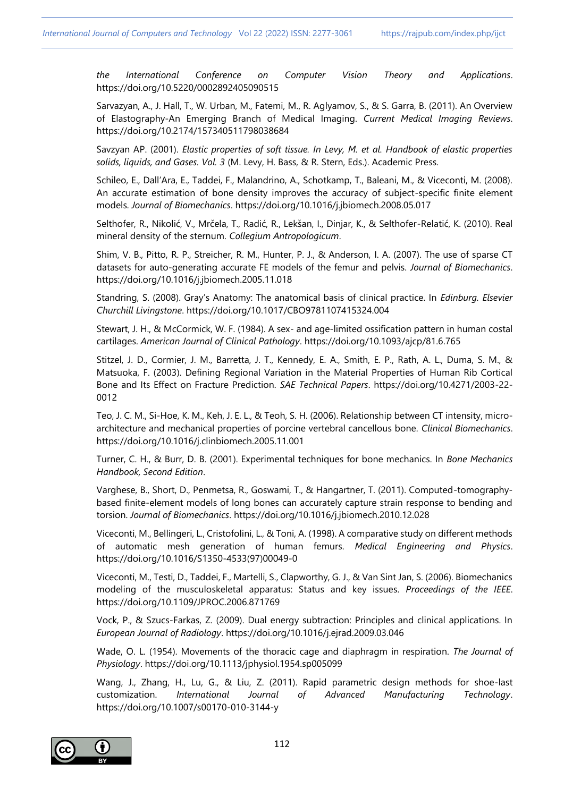*the International Conference on Computer Vision Theory and Applications*. https://doi.org/10.5220/0002892405090515

Sarvazyan, A., J. Hall, T., W. Urban, M., Fatemi, M., R. Aglyamov, S., & S. Garra, B. (2011). An Overview of Elastography-An Emerging Branch of Medical Imaging. *Current Medical Imaging Reviews*. https://doi.org/10.2174/157340511798038684

Savzyan AP. (2001). *Elastic properties of soft tissue. In Levy, M. et al. Handbook of elastic properties solids, liquids, and Gases. Vol. 3* (M. Levy, H. Bass, & R. Stern, Eds.). Academic Press.

Schileo, E., Dall'Ara, E., Taddei, F., Malandrino, A., Schotkamp, T., Baleani, M., & Viceconti, M. (2008). An accurate estimation of bone density improves the accuracy of subject-specific finite element models. *Journal of Biomechanics*. https://doi.org/10.1016/j.jbiomech.2008.05.017

Selthofer, R., Nikolić, V., Mrčela, T., Radić, R., Lekšan, I., Dinjar, K., & Selthofer-Relatić, K. (2010). Real mineral density of the sternum. *Collegium Antropologicum*.

Shim, V. B., Pitto, R. P., Streicher, R. M., Hunter, P. J., & Anderson, I. A. (2007). The use of sparse CT datasets for auto-generating accurate FE models of the femur and pelvis. *Journal of Biomechanics*. https://doi.org/10.1016/j.jbiomech.2005.11.018

Standring, S. (2008). Gray's Anatomy: The anatomical basis of clinical practice. In *Edinburg. Elsevier Churchill Livingstone*. https://doi.org/10.1017/CBO9781107415324.004

Stewart, J. H., & McCormick, W. F. (1984). A sex- and age-limited ossification pattern in human costal cartilages. *American Journal of Clinical Pathology*. https://doi.org/10.1093/ajcp/81.6.765

Stitzel, J. D., Cormier, J. M., Barretta, J. T., Kennedy, E. A., Smith, E. P., Rath, A. L., Duma, S. M., & Matsuoka, F. (2003). Defining Regional Variation in the Material Properties of Human Rib Cortical Bone and Its Effect on Fracture Prediction. *SAE Technical Papers*. https://doi.org/10.4271/2003-22- 0012

Teo, J. C. M., Si-Hoe, K. M., Keh, J. E. L., & Teoh, S. H. (2006). Relationship between CT intensity, microarchitecture and mechanical properties of porcine vertebral cancellous bone. *Clinical Biomechanics*. https://doi.org/10.1016/j.clinbiomech.2005.11.001

Turner, C. H., & Burr, D. B. (2001). Experimental techniques for bone mechanics. In *Bone Mechanics Handbook, Second Edition*.

Varghese, B., Short, D., Penmetsa, R., Goswami, T., & Hangartner, T. (2011). Computed-tomographybased finite-element models of long bones can accurately capture strain response to bending and torsion. *Journal of Biomechanics*. https://doi.org/10.1016/j.jbiomech.2010.12.028

Viceconti, M., Bellingeri, L., Cristofolini, L., & Toni, A. (1998). A comparative study on different methods of automatic mesh generation of human femurs. *Medical Engineering and Physics*. https://doi.org/10.1016/S1350-4533(97)00049-0

Viceconti, M., Testi, D., Taddei, F., Martelli, S., Clapworthy, G. J., & Van Sint Jan, S. (2006). Biomechanics modeling of the musculoskeletal apparatus: Status and key issues. *Proceedings of the IEEE*. https://doi.org/10.1109/JPROC.2006.871769

Vock, P., & Szucs-Farkas, Z. (2009). Dual energy subtraction: Principles and clinical applications. In *European Journal of Radiology*. https://doi.org/10.1016/j.ejrad.2009.03.046

Wade, O. L. (1954). Movements of the thoracic cage and diaphragm in respiration. *The Journal of Physiology*. https://doi.org/10.1113/jphysiol.1954.sp005099

Wang, J., Zhang, H., Lu, G., & Liu, Z. (2011). Rapid parametric design methods for shoe-last customization. *International Journal of Advanced Manufacturing Technology*. https://doi.org/10.1007/s00170-010-3144-y